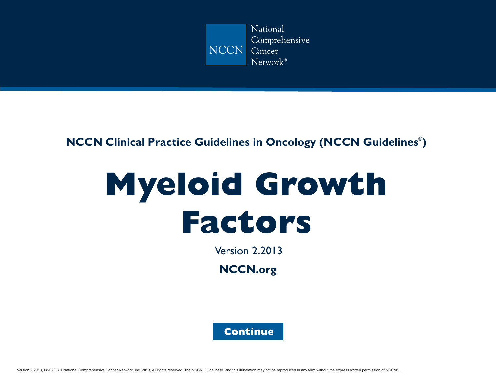

### <span id="page-0-0"></span>**NCCN Clinical Practice Guidelines in Oncology (NCCN Guidelines<sup>®</sup>)**

# **Myeloid Growth Factors**

Version 2.2013

**NCCN.org**

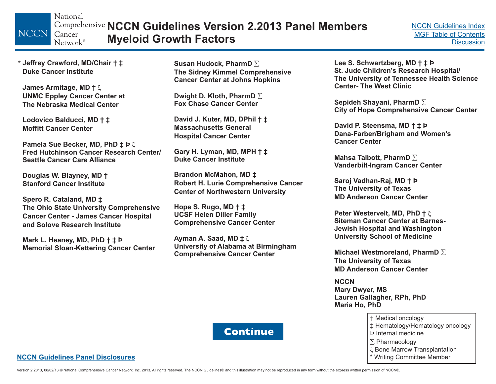National **NCCN Guidelines Version 2.2013 Panel Members**Cancer **Myeloid Growth Factors** Network®

**Jeffrey Crawford, MD/Chair † ‡** \***Duke Cancer Institute**

<span id="page-1-0"></span>**NCCN** 

**James Armitage, MD †** - **UNMC Eppley Cancer Center at The Nebraska Medical Center**

**Lodovico Balducci, MD † ‡ Moffitt Cancer Center**

**Pamela Sue Becker, MD, PhD ‡ Þ** - **Fred Hutchinson Cancer Research Center/Seattle Cancer Care Alliance**

**Douglas W. Blayney, MD † Stanford Cancer Institute**

**Spero R. Cataland, MD ‡ The Ohio State University Comprehensive Cancer Center - James Cancer Hospital and Solove Research Institute**

**Mark L. Heaney, MD, PhD † ‡ Þ Memorial Sloan-Kettering Cancer Center**

**Susan Hudock, PharmD The Sidney Kimmel Comprehensive Cancer Center at Johns Hopkins**

**Dwight D. Kloth, PharmD Fox Chase Cancer Center**

**David J. Kuter, MD, DPhil † ‡ Massachusetts GeneralHospital Cancer Center**

**Gary H. Lyman, MD, MPH † ‡ Duke Cancer Institute**

**Brandon McMahon, MD ‡ Robert H. Lurie Comprehensive Cancer Center of Northwestern University**

**Hope S. Rugo, MD † ‡ UCSF Helen Diller Family Comprehensive Cancer Center**

**Ayman A. Saad, MD ‡** -**University of Alabama at Birmingham Comprehensive Cancer Center**

**Lee S. Schwartzberg, MD † ‡ Þ St. Jude Children's Research Hospital/ The University of Tennessee Health Science Center- The West Clinic**

**Sepideh Shayani, PharmD City of Hope Comprehensive Cancer Center**

**David P. Steensma, MD†‡Þ Dana-Farber/Brigham and Women's Cancer Center**

**Mahsa Talbott, PharmD Vanderbilt-Ingram Cancer Center**

**Saroj Vadhan-Raj, MD † Þ The University of Texas MD Anderson Cancer Center**

**Peter Westervelt, MD, PhD †** -**Siteman Cancer Center at Barnes-Jewish Hospital and Washington University School of Medicine**

**Michael Westmoreland, PharmD The University of Texas MD Anderson Cancer Center**

**NCCNMary Dwyer, MS Lauren Gallagher, RPh, PhD Maria Ho, PhD** 

> † Medical oncology ‡ Hematology/Hematology oncology Þ Internal medicine\* Writing Committee Member  $\Sigma$  Pharmacology દ્દ Bone Marrow Transplantation

### **NCCN Guidelines Panel [Disclosures](http://www.nccn.org/disclosures/panel_list.asp?ID=88)**

Version 2.2013, 08/02/13 © National Comprehensive Cancer Network, Inc. 2013, All rights reserved. The NCCN Guidelines @and this illustration may not be reproduced in any form without the express written permission of NCCN®

**Continue**

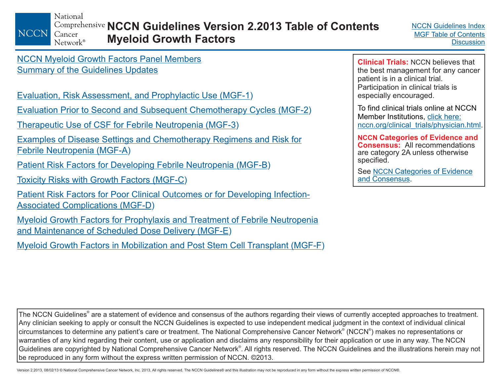National

<span id="page-2-0"></span>**NCCN** Cancer Network®

**NCCN Guidelines Version 2.2013 Table of Contents Myeloid Growth Factors**

NCCN [Myeloid Growth Factors](#page-1-0) Panel Members [Summary of the Guidelines Updates](#page-4-0)

Evaluation, Risk [Assessment, and Prophylactic Use \(MGF-1](#page-6-0) )

[Evaluation Prior to Second and Subsequent Chemotherapy Cycles \(MGF-2](#page-7-0) )

[Therapeutic Use of CSF for Febrile Neutropenia \(MGF-3](#page-8-0) )

<u>Examples of Disease Settings and [Chemotherapy Regimens and Risk for](#page-9-0)</u> Febrile Neutropenia (MGF-A )

[Patient Risk Factors for Developing Febrile Neutropenia \(MGF-B](#page-13-0) )

[Toxicity Risks with Growth Factors \(MGF-C](#page-14-0) )

[Patient Risk Factors for Poor Clinical Outcomes or for Developing Infection-](#page-15-0)Associated Complications (MGF-D )

Myeloid Growth Factors for Prophylaxis and Treatment of Febrile Neutropenia [and Maintenance of Scheduled Dose Delivery \(MGF-E](#page-16-0) )

[Myeloid Growth Factors in Mobilization and Post Stem Cell](#page-18-0) Transplant (MGF-F)

**Clinical Trials:** NCCN believes that the best management for any cancer patient is in a clinical trial. Participation in clinical trials is especially encouraged.

To find clinical trials online at NCCNMember Institutions, click here: [nccn.org/clinical\\_trials/physician.html.](http://www.nccn.org/clinical_trials/physician.html)

**Categories of Evidence and NCCNConsensus:** All recommendationsare category 2A unless otherwise specified.

See <u>NCCN [Categories of Evidence](#page-20-0)</u> and Consensus.

The NCCN Guidelines® are a statement of evidence and consensus of the authors regarding their views of currently accepted approaches to treatment. Any clinician seeking to apply or consult the NCCN Guidelines is expected to use independent medical judgment in the context of individual clinical circumstances to determine any patient's care or treatment. The National Comprehensive Cancer Network® (NCCN®) makes no representations or warranties of any kind regarding their content, use or application and disclaims any responsibility for their application or use in any way. The NCCN Guidelines are copyrighted by National Comprehensive Cancer Network®. All rights reserved. The NCCN Guidelines and the illustrations herein may not be reproduced in any form without the express written permission of NCCN. ©2013.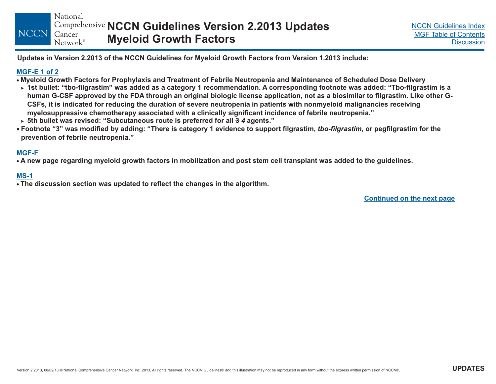National **NCCN Guidelines Version 2.2013 Updates NCCN** Cancer **Myeloid Growth Factors** Network<sup>®</sup>

Updates in Version 2.2013 of the NCCN Guidelines for Myeloid Growth Factors from Version 1.2013 include:

### **[MGF-E](#page-16-0) 1 of 2**

- Myeloid Growth Factors for Prophylaxis and Treatment of Febrile Neutropenia and Maintenance of Scheduled Dose Delivery
- ≻ 1st bullet: "tbo-filgrastim" was added as a category 1 recommendation. A corresponding footnote was added: "Tbo-filgrastim is a human G-CSF approved by the FDA through an original biologic license application, not as a biosimilar to filgrastim. Like other G-CSFs, it is indicated for reducing the duration of severe neutropenia in patients with nonmyeloid malignancies receiving myelosuppressive chemotherapy associated with a clinically significant incidence of febrile neutropenia."
- ► 5th bullet was revised: "Subcutaneous route is preferred for all <del>3</del> 4 agents."
- ∙ Footnote "3" was modified by adding: "There is category 1 evidence to support filgrastim, *tbo-filgrastim*, or pegfilgrastim for the **prevention of febrile neutropenia."**

### **[MGF-F](#page-18-0)**

• A new page regarding myeloid growth factors in mobilization and post stem cell transplant was added to the guidelines.

### **[MS-1](#page-20-0)**

 $\bullet$  The discussion section was updated to reflect the changes in the algorithm.

**Continued on the next page**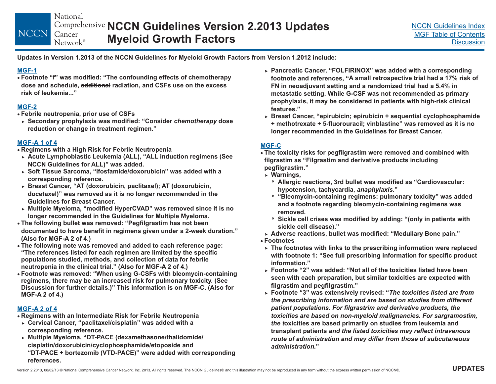National **NCCN Guidelines Version 2.2013 Updates** Cancer **Myeloid Growth Factors** Network®

Updates in Version 1.2013 of the NCCN Guidelines for Myeloid Growth Factors from Version 1.2012 include:

### **[MGF-1](#page-6-0)**

<span id="page-4-0"></span>**NCCN** 

 **Footnote "f" was modified: " The confounding effects of chemotherapy "risk of leukemia...dose and schedule, radiation, and CSFs use on the excess additional**

### **[MGF-2](#page-7-0)**

- **Febrile neutropenia, prior use of CSFs**
- **Secondary prophylaxis was modified: "Consider dose** *chemotherapy* **reduction or change in treatment regimen."**

- **Regimens with <sup>a</sup> High Risk for Febrile Neutropenia [MGF-A](#page-9-0) <sup>1</sup> of <sup>4</sup>**
- **Acute Lymphoblastic Leukemia (ALL), " ALL induction regimens (See " was added. NCCN Guidelines for ALL)**
- **Soft Tissue Sarcoma, "ifosfamide/doxorubicin" was added with <sup>a</sup> corresponding reference.**
- **Breast Cancer, "AT (doxorubicin, paclitaxel); AT (doxorubicin, docetaxel)" was removed as it is no longer recommended in the Guidelines for Breast Cancer.**
- **Multiple Myeloma, "modified HyperCVAD" was removed since it is no longer recommended in the Guidelines for Multiple Myeloma.**
- **The following bullet was removed: " Pegfilgrastim has not been documented to have benefit in regimens given under <sup>a</sup> 2-week duration." (Also for MGF-A 2 of 4.)**
- **The following note was removed and added to each reference page: "The references listed for each regimen are limited by the specific populations studied, methods, and collection of data for febrile neutropenia in the clinical trial." (Also for MGF-A 2 of 4.)**
- **Footnote was removed: "When using G-CSFs with bleomycin-containing regimens, there may be an increased risk for pulmonary toxicity. (See Discussion for further details.)" This information is on MGF-C. (Also for MGF-A 2 of 4.)**

### **[MGF-A](#page-10-0) 2 of 4**

- **Regimens with an Intermediate Risk for Febrile Neutropenia**
- **Cervical Cancer, "p aclitaxel/cisplatin" was added with <sup>a</sup> corresponding reference.**
- **Multiple Myeloma, "DT-PACE (dexamethasone/thalidomide/ cisplatin/doxorubicin/cyclophosphamide/etoposide and "DT-PACE <sup>+</sup> bortezomib (VTD-PACE)" were added with corresponding references.**
- **Pancreatic Cancer, "FOLFIRINOX" was added with <sup>a</sup> corresponding** footnote and references, "A small retrospective trial had a 17% risk of **FN in neoadjuvant setting and <sup>a</sup> randomized trial had <sup>a</sup> 5.4% in metastatic setting. While G-CSF was not recommended as primary prophylaxis, it may be considered in patients with high-risk clinical features."**
- **Breast Cancer, "epirubicin; epirubicin <sup>+</sup> sequential cyclophosphamide + methotrexate <sup>+</sup> 5-fluorouracil; vinblastine" was removed as it is no longer recommended in the Guidelines for Breast Cancer.**

### **[MGF-C](#page-14-0)**

- **The toxicity risks for pegfilgrastim were removed and combined with filgrastim as "Filgrastim and derivative products including pegfilgrastim."**
	- **Warnings,**
		- **Allergic reactions, 3rd bullet was modified as "Cardiovascular: hypotension, tachycardia, ."** *anaphylaxis*
		- **"Bleomycin-containing regimens: pulmonary toxicity" was added and a footnoteregarding bleomycin-containing regimens was .removed**
		- **Sickle cell crises was modified by adding: "(only in patients with sickle cell disease)."**
- **Adverse reactions, bullet was modified: " Bone pain." Medullary** -
- **Footnotes**
- **The footnotes with links to the prescribing information were replaced with footnote 1: "See full prescribing information for specific product information."**
- ► Footnote "2" was added: "Not all of the toxicities listed have been **seen with each preparation, but similar toxicities are expected with filgrastim and pegfilgrastim."**
- **Footnote "3" was extensively revised: "** *The toxicities listed are from* **oxicities are based primarily on studies from leukemia and** *the t* **transplant patients** *and the listed toxicities may reflect intravenous* **"***administration.the prescribing information and are based on studies from different patient populations. For filgrastrim and derivative products, the toxicities are based on non-myeloid malignancies. For sargramostim, route of administration and may differ from those of subcutaneous*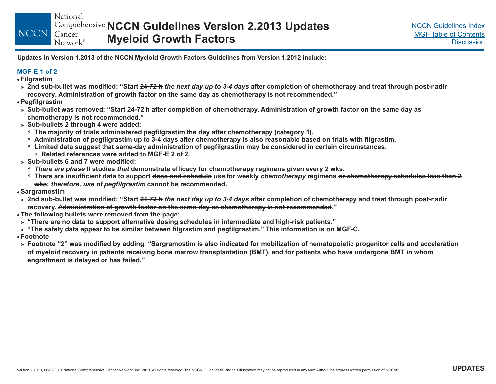National **NCCN Guidelines Version 2.2013 Updates** Cancer **Myeloid Growth Factors** Network<sup>®</sup>

Updates in Version 1.2013 of the NCCN Myeloid Growth Factors Guidelines from Version 1.2012 include:

### **[MGF-E](#page-16-0) 1 of 2**

**Filgrastim**

**NCCN** 

- ► 2nd sub-bullet was modified: "Start <del>24-72 h</del> *the next day up to 3-4 days* after completion of chemotherapy and treat through post-nadir recovery<del>. Administration of growth factor on the same day as chemotherapy is not recommended</del>."
- **Pegfilgrastim**
- ► Sub-bullet was removed: "Start 24-72 h after completion of chemotherapy. Administration of growth factor on the same day as **chemotherapy is not recommended."**
- **Sub-bullets 2 through 4 were added:** -
- $^{\circ}\,$  The majority of trials administered pegfilgrastim the day after chemotherapy (category 1).
- $\circ$  Administration of pegfilgrastim up to 3-4 days after chemotherapy is also reasonable based on trials with filgrastim.
- $\,^{\circ} \,$  Limited data suggest that same-day administration of pegfilgrastim may be considered in certain circumstances. **Related references were added to MGF-E 2 of 2.**
- **Sub-bullets 6 and 7 were modified:**-
	- $\hspace{0.1mm}$   $\hspace{0.1mm}$   $\hspace{0.1mm}$   $\hspace{0.1mm}$   $\hspace{0.1mm}$   $\hspace{0.1mm}$   $\hspace{0.1mm}$   $\hspace{0.1mm}$   $\hspace{0.1mm}$   $\hspace{0.1mm}$   $\hspace{0.1mm}$   $\hspace{0.1mm}$   $\hspace{0.1mm}$   $\hspace{0.1mm}$   $\hspace{0.1mm}$   $\hspace{0.1mm}$   $\hspace{0.1mm}$   $\hspace{0.1mm}$   $\hspace{$
	- ∘ There are insufficient data to support <del>dose and schedule</del> use for weekly *chemotherapy* regimens <del>or chemotherapy schedules less than 2</del>  $\textbf{w}$ k<del>s</del>; therefore, use of pegfilgrastim cannot be recommended.
- **Sargramostim**
- ► 2nd sub-bullet was modified: "Start <del>24-72 h</del> *the next day up to 3-4 days* after completion of chemotherapy and treat through post-nadir recovery. <del>Administration of growth factor on the same day as chemotherapy is not recommended</del>."
- **The following bullets were removed from the page:**
- ► "There are no data to support alternative dosing schedules in intermediate and high-risk patients."
- ► "The safety data appear to be similar between filgrastim and pegfilgrastim." This information is on MGF-C.
- **Footnote**
- ► Footnote "2" was modified by adding: "Sargramostim is also indicated for mobilization of hematopoietic progenitor cells and acceleration of myeloid recovery in patients receiving bone marrow transplantation (BMT), and for patients who have undergone BMT in whom **engraftment is delayed or has failed."**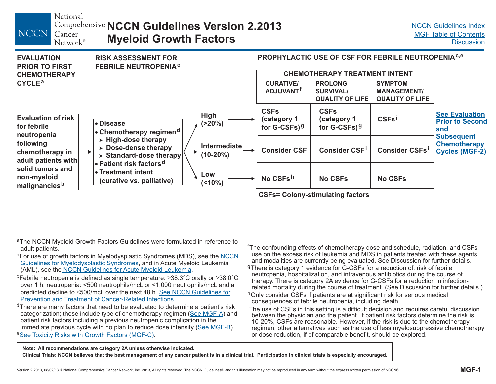National

Network®

<span id="page-6-0"></span>**NCCN** 

### **NCCN Guidelines Version 2.2013** Cancer **Myeloid Growth Factors**



**CSFs= Colony-stimulating factors**

- <sup>a</sup>The NCCN Myeloid Growth Factors Guidelines were formulated in reference to adult patients.
- <sup>b</sup>For use of growth factors in Myelodysplastic Syndromes (MDS), see the <u>[NCCN](#page-0-0)</u> <u>[Guidelines for Myelodysplastic Syndromes](#page-0-0)</u>, and in Acute Myeloid Leukemia (AML), see the <u>NCCN Guidelines for [Acute Myeloid Leukemia](#page-0-0)</u>.
- c Febrile neutropenia is defined as s ingle temperature: 38.3°C orally or 38.0°C over 1 h; neutropenia: <500 neutrophils/mcL or <1,000 neutrophils/mcL and a predicted decline to ≤500/mcL over the next 48 h. <u>See NCCN [Guidelines for](#page-0-0)</u> .Prevention and [Treatment of Cancer-Related Infections](#page-0-0)
- <sup>d</sup>There are many factors that need to be evaluated to determine a patient's risk patient risk factors including a previous neutropenic complication in the immediate previous cycle with no plan to reduce dose intensity (<u>[See MGF-B](#page-13-0)</u>). <sup>e</sup> See [Toxicity Risks with Growth Factors \(MGF-C](#page-14-0)). categorization; these include type of chemotherapy regimen (<u>[See MGF-A](#page-9-0)</u>) and
- fThe confounding effects of chemotherapy dose and schedule, radiation, and CSFs use on the excess risk of leukemia and MDS in patients treated with these agents and modalities are currently being evaluated. See Discussion for further details.
- <sup>g</sup>There is category 1 evidence for G-CSFs for a reduction of: risk of febrile neutropenia, hospitalization, and intravenous antibiotics during the course of therapy. There is category 2A evidence for G-CSFs for a reduction in infectionrelated mortality during the course of treatment. (See Discussion for further details.)
- <sup>h</sup>Only consider CSFs if patients are at significant risk for serious medical consequences of febrile neutropenia, including death.
- The use of CSFs in this setting is a difficult decision and requires careful discussion between the physician and the patient. If patient risk factors determine the risk is 10-20%, CSFs are reasonable. However, if the risk is due to the chemotherapy regimen, other alternatives such as the use of less myelosuppressive chemotherapy or dose reduction, if of comparable benefit, should be explored.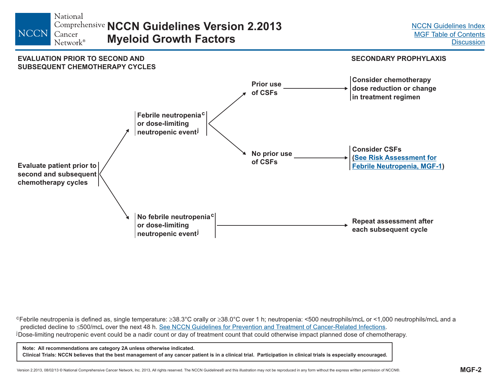<span id="page-7-0"></span>



cFebrile neutropenia is defined as, single temperature: 38.3°C orally or 38.0°C over 1 h; neutropenia: <500 neutrophils/mcL or <1,000 neutrophils/mcL and a predicted decline to ≤500/mcL over the next 48 h. <u>See NCCN Guidelines for Prevention and Treatment of Cancer-Related Infections</u>. predicted decline to ≤500/mcL over the next 48 h. <u>[See NCCN Guidelines for Prevention and](#page-0-0) Treatment of Cancer-Related Infections</u>.<br><sup>j</sup> Dose-limiting neutropenic event could be a nadir count or day of treatment count that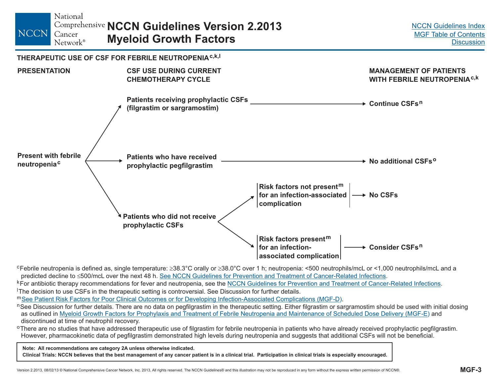<span id="page-8-0"></span>

<sup>c</sup>Febrile neutropenia is defined as, single temperature: ≥38.3°C orally or ≥38.0°C over 1 h; neutropenia: <500 neutrophils/mcL or <1,000 neutrophils/mcL and a predicted decline to ≤500/mcL over the next 48 h. <u>[See NCCN Guidelines for Prevention and](#page-0-0) Treatment of Cancer-Related Infections</u>

kFor antibiotic therapy recommendations for fever and neutropenia, see the <u>NCCN Guidelines for Prevention and [Treatment of Cancer-Related Infections](#page-0-0)</u>. The decision to use CSFs in the therapeutic setting is controversial. See Discussion for further details.

m<u>[See Patient Risk Factors for Poor Clinical Outcomes or for Developing Infection-Associated Complications \(MGF-D](#page-15-0)</u>).

<sup>n</sup>See Discussion for further details. There are no data on pegfilgrastim in the therapeutic setting. Either filgrastim or sargramostim should be used with initial dosing as outlined in <u>Myeloid Growth Factors for Prophylaxis and [Treatment of Febrile Neutropenia and Maintenance of Scheduled Dose Delivery \(MGF-E](#page-16-0)) and</u> discontinued at time of neutrophil recovery.

<sup>o</sup>There are no studies that have addressed therapeutic use of filgrastim for febrile neutropenia in patients who have already received prophylactic pegfilgrastim. However, pharmacokinetic data of pegfilgrastim demonstrated high levels during neutropenia and suggests that additional CSFs will not be beneficial.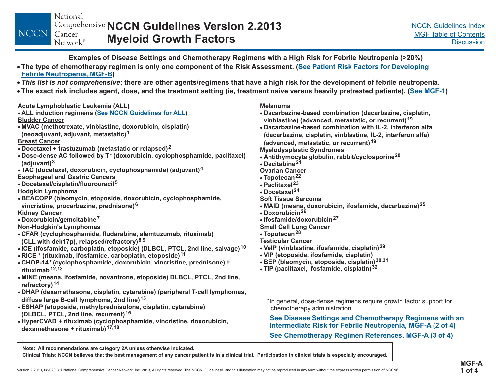### **Examples of Disease Settings and Chemotherapy Regimens with a High Risk for Febrile Neutropenia (>20%)**

- <span id="page-9-0"></span>∙ The type of chemotherapy regimen is only one component of the Risk Assessment. (<u>See Patient Risk Factors for Developin</u>g **) Febrile [Neutropenia,](#page-13-0) MGF-B**
- This list is not comprehensive; there are other agents/regimens that have a high risk for the development of febrile neutropenia.
- ∙ The exact risk includes agent, dose, and the treatment setting (ie, treatment naive versus heavily pretreated patients). (<u>See [MGF-1](#page-6-0)</u>)

### **Acute Lymphoblastic Leukemia (ALL)**

- **ALL induction regimens ( ) See NCCN [Guidelines](#page-0-0) for ALL Bladder Cancer**
- **MVAC (methotrexate, vinblastine, doxorubicin, cisplatin) (neoadjuvant, adjuvant, metastatic) 1**
- **Breast Cancer**
- **Docetaxel <sup>+</sup> trastuzumab (metastatic or relapsed) 2**
- **Dose-dense AC followed by T\* (doxorubicin, cyclophosphamide, paclitaxel) (adjuvant) 3**
- **Esophageal and Gastric Cancers TAC (docetaxel, doxorubicin, cyclophosphamide) (adjuvant) 4**
- **Docetaxel/cisplatin/fluorouracil 5**
- **Hodgkin Lymphoma**
- **6 vincristine, procarbazine, prednisone) BEACOPP (bleomycin, etoposide, doxorubicin, cyclophosphamide,**

### **Kidney Cancer**

**Doxorubicin/gemcitabine 7**

### **Non-Hodgkin's Lymphomas**

- **alemtuzumab, <sup>r</sup> CFAR (cyclophosphamide, fludarabine, ituximab) (CLL with del(17p), relapsed/refractory) 8,9**
- **10 ICE (ifosfamide, carboplatin, etoposide) (DLBCL, PTCL, 2nd line, salvage)**
- **RICE (rituximab, ifosfamide, carboplatin, etoposide) 11 \***
- **± CHOP-14\* (cyclophosphamide, doxorubicin, vincristine, prednisone) rituximab12, 13**
- **DLBCL, PTCL MINE (mesna, ifosfamide, novantrone, etoposide) , 2nd line, refractory) 14**
- **DHAP (dexamethasone, cisplatin, cytarabine) (peripheral T-cell lymphomas, diffuse large B-cell lymphoma, 2nd line) 15**
- **DLBCL, PTCL ( , 2nd line, recurrent) 16 ESHAP (etoposide, methylprednisolone, cisplatin, cytarabine)**
- **HyperCVAD <sup>+</sup> <sup>r</sup> (cyclophosphamide, vincristine, doxorubicin, ituximabdexamethasone <sup>+</sup> <sup>r</sup> ) 17,18 ituximab**

#### **Melanoma**

- **Dacarbazine-based combination (dacarbazine, cisplatin, vinblastine) (advanced, metastatic, or recurrent) 19**
- **Dacarbazine-based combination with IL-2, interferon alfa (dacarbazine, cisplatin, vinblastine, IL-2, interferon alfa) (advanced, metastatic, or recurrent) 19**

### **Myelodysplastic Syndromes**

- **Antithymocyte globulin, rabbit/cyclosporine 20**
- **Decitabine21**

**Ovarian Cancer**

- **Topotecan 22**
- **Paclitaxel23**
- **Docetaxel24**
- **Soft Tissue Sarcoma**
- **MAID (mesna, doxorubicin, ifosfamide, dacarbazine) 25**
- **Doxorubicin26**
- **Ifosfamide/doxorubicin27**

### **Small Cell Lung Cance r**

- **28 Topotecan**
- **Testicular Cancer**
- **VeIP (vinblastine, ifosfamide, cisplatin) 29**
- **VIP (etoposide, ifosfamide, cisplatin)**
- . **BEP (bleomycin, etoposide, cisplatin ) 30,31**
- **TIP (paclitaxel, ifosfamide, cisplatin) 32**

\*In general, dose-dense regimens require growth factor support for chemotherapy administration.

**See [Chemotherapy](#page-10-0) Regimens with an Disease Settings and Intermediate Risk for Febrile Neutropenia, MGF-A (2 of 4 ) See [Chemotherapy](#page-11-0) Regimen References, MGF-A (3 of 4)**

**Note: All recommendations are category 2A unless otherwise indicated.**

Clinical Trials: NCCN believes that the best management of any cancer patient is in a clinical trial. Participation in clinical trials is especially encouraged.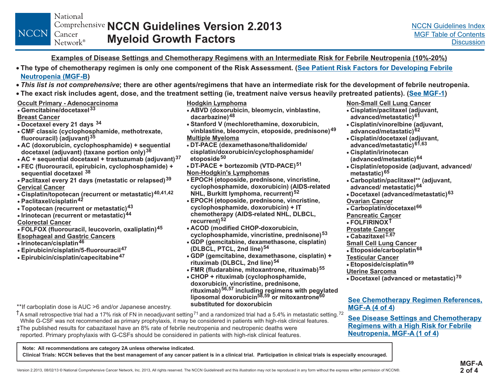### Examples of Disease Settings and Chemotherapy Regimens with an Intermediate Risk for Febrile Neutropenia (10%-20%)

- <span id="page-10-0"></span>∙ The type of chemotherapy regimen is only one component of the Risk Assessment. (<u>See Patient Risk Factors for [Developing](#page-13-0) Febrile</u> **[Neutropenia](#page-13-0) (MGF-B)**
- This list is not comprehensive; there are other agents/regimens that have an intermediate risk for the development of febrile neutropenia.
- ∙ The exact risk includes agent, dose, and the treatment setting (ie, treatment naive versus heavily pretreated patients). (<u>See [MGF-1](#page-6-0)</u>)
- **Occult Primary - Adenocarcinoma**

#### **Gemcitabine/docetaxel 33**

#### **Breast Cancer**

- **Doce taxel every 21 days 34**
- **CMF cl assic (cyclophosphamide, methotrexate, fluorouracil) (adjuvant) 35**
- **A C <sup>+</sup> sequential (doxorubicin, cyclophosphamide) docetaxel (adjuvant) (taxane portion only) 36**
- **AC <sup>+</sup> sequential docetaxel <sup>+</sup> trastuzumab (adjuvant) 37**
- **FEC (fluorouracil, epirubicin, cyclophosphamide) <sup>+</sup> sequential docetaxel 38**
- **Cervical CancerPacli taxel every 21 days (metastatic or relapsed) 39**
- **Cisplatin/topotecan (recurrent or metastatic) 40,41,42**
- **Paclitaxel/cisplatin 42**
- $\ddot{\bullet}$ **T Irin opotecan (recurrent or metastatic) 43 44**
- **otecan (recurrent or metastatic)**
- **Colorectal Cancer**
- **FOLFOX (fluorouracil, leucovorin, oxaliplatin) 45 Esophageal and Gastric Cancers**
- **Irinotecan/cisplatin 46**
- **Epirubicin/cisplatin/5-fluorouracil 47**  $\bullet$
- **Epirubicin/cisplatin/capecitabine 47**  $\bullet$

#### **Hodgkin Lymphoma**

- **AB VD (doxorubicin, bleomycin, vinblastine, dacarbazine) 48**
- **Stanford V (mechlorethamine, doxorubicin, vinblastine, bleomycin, etoposide, prednisone) 49 Multiple Myeloma**
- **dexamethasone/thalidomide/DT-PACE ( cisplatin/doxorubicin/cyclophosphamide/ etoposide 50**
- **Non-Hodgkin's Lymphomas DT-PACE <sup>+</sup> bortezomib (VTD-PACE) 51**
- **EPOCH (etoposide, prednisone, vincristine, cyclophosphamide, doxorubicin) (AIDS-related NHL, Burkitt lymphoma, recurrent) 52**
- **EPOCH (etoposide, prednisone, vincristine, cyclophosphamide, doxorubicin) <sup>+</sup> IT chemotherapy (AIDS-related NHL, DLBCL, recurrent) 52**
- **ACOD ( modified CHOP-doxorubicin, cyclophosphamide, vincristine, prednisone) 53**
- **GDP (gemcitabine, dexamethasone, cisplatin) (DLBCL, PTCL, 2nd line) 54**
- **GDP (gemcitabine, dexamethasone, cisplatin) <sup>+</sup> rituximab (DLBCL, 2nd line) 54**
- **FMR(fludarabine, mitoxantrone, rituximab) 55**
- **CHOP <sup>+</sup> rituximab (cyclophosphamide, doxorubicin, vincristine, prednisone, rituximab) 56,57 including regimens with pegylated liposomal doxorubicin or mitoxantrone 58,59 60 substituted for doxorubicin**

\*\*If carboplatin dose is AUC >6 and/or Japanese ancestry.  $\dagger$ A small retrospective trial had a 17% risk of FN in neoadjuvant setting<sup>71</sup> and a randomized trial had a 5.4% in metastatic setting.<sup>72</sup>

‡The published results for cabazitaxel have an 8% rate of febrile neutropenia and neutropenic deaths were While G-CSF was not recommended as primary prophylaxis, it may be considered in patients with high-risk clinical features.

reported. Primary prophylaxis with G-CSFs should be considered in patients with high-risk clinical features.

**Note: All recommendations are category 2A unless otherwise indicated.**

Clinical Trials: NCCN believes that the best management of any cancer patient is in a clinical trial. Participation in clinical trials is especially encouraged.

- **Non-Small Cell Lung Cancer**
- **Cisplatin/paclitaxel (adjuvant, advanced/metastatic) 61**
- **Cisp latin/vinorelbine (adjuvant, advanced/metastatic) 62**
- **Cisp latin/docetaxel (adjuvant, advanced/metastatic) 61,63**
- **Cispla tin/irinotecan**
- **(advanced/metastatic) 64**
- **Cisplat in/etoposide (adjuvant, advanced/ metastatic) 65**
- **Car boplatin/paclitaxel\*\* (adjuvant, advanced/ metastatic) 64**
- **Do cetaxel (advanced/metastatic) 63**
- **Ovarian Cancer**
- **Carboplatin/docetaxel 66**
- **Pancreatic Cancer**
- **FOLFIRINOX†**
- **Prostate Cancer**
- **Cabazitaxel,67** ‡
- **Small Cell Lung Cancer**
- **Etop oside/carboplatin 68**
- **Testicular Cancer**
- **Etoposide/cisplatin 69**
- **Uterine Sarcoma**
- **Doceta xel (advanced or metastatic) 70**

### **See [Chemotherapy](#page-12-0) Regimen References, MGF-A (4 of 4)**

**See [Chemotherapy](#page-9-0) Disease Settings and Regimens with <sup>a</sup> High Risk for Febrile Neutropenia, MGF-A (1 of 4 )**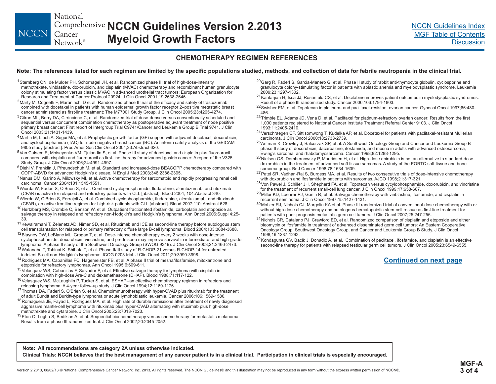<span id="page-11-0"></span>National **NCCN Guidelines Version 2.2013** NCCN Cancer **Myeloid Growth Factors** Network<sup>®</sup>

### **CHEMOTHERAPY REGIMEN REFERENCES**

#### Note: The references listed for each regimen are limited by the specific populations studied, methods, and collection of data for febrile neutropenia in the clinical trial.

- <sup>1</sup> Sternberg CN, de Mulder PH, Schornagel JH, et al. Randomized phase III trial of high-dose-intensity methotrexate, vinblastine, doxorubicin, and cisplatin (MVAC) chemotherapy and recombinant human granulocyte colony stimulating factor versus classic MVAC in advanced urothelial tract tumors: European Organization for Research and Treatment of Cancer Protocol 20924. J Clin Oncol 2001;19:2638-2646.
- $^2$ Marty M, Cognetti F, Maraninchi D et al. Randomized phase II trial of the efficacy and safety of trastuzumab combined with docetaxel in patients with human epidermal growth factor receptor 2–positive metastatic breast cancer administered as first-line treatment: The M77001 Study Group. J Clin Oncol 2005;23:4265-4274.
- $3$ Citron ML, Berry DA, Cirrincione C, et al. Randomized trial of dose-dense versus conventionally scheduled and sequential versus concurrent combination chemotherapy as postoperative adjuvant treatment of node positive primary breast cancer: First report of Intergroup Trial C9741/Cancer and Leukemia Group B Trial 9741. J Clin Oncol 2003;21:1431-1439.
- 4 Martin M, Lluch A, Segui MA, et al. Prophylactic growth factor (GF) support with adjuvant docetaxel, doxorubicin, and cyclophosphamide (TAC) for node-negative breast cancer (BC): An interim safety analysis of the GEICAM 9805 study [abstract]. Proc Amer Soc Clin Oncol 2004;23:Abstract 620.
- 5 Van Cutsem E, Moiseyenko VM, Tjulandin S, et al. Phase III study of docetaxel and cisplatin plus fluorouracil compared with cisplatin and fluorouracil as first-line therapy for advanced gastric cancer: A report of the V325 Study Group. J Clin Oncol 2006;24:4991-4997.
- 6 Diehl V, Franklin J, Pfreundschuh M, et al. Standard and increased-dose BEACOPP chemotherapy compared with COPP-ABVD for advanced Hodgkin's disease. N Engl J Med 2003;348:2386-2395.
- <sup>7</sup> Nanus DM, Garino A, Milowsky MI, et al. Active chemotherapy for sarcomatoid and rapidly progressing renal cell carcinoma. Cancer 2004;101:1545-1551.
- <sup>8</sup>Wierda W, Faderl S, O'Brien S, et al. Combined cyclophosphamide, fludarabine, alemtuzumab, and rituximab (CFAR) is active for relapsed and refractory patients with CLL [abstract]. Blood 2004; 104:Abstract 340.
- <sup>9</sup>Wierda W, O'Brien S, Ferrajoli A, et al. Combined cyclophosphamide, fludarabine, alemtuzumab, and rituximab (CFAR), an active frontline regimen for high-risk patients with CLL [abstract]. Blood 2007;110: Abstract 628.
- <sup>10</sup>Hertzberg MS, Crombie C, Benson W, et al. Outpatient fractionated ifosfamide, carboplatin and etoposide as salvage therapy in relapsed and refractory non-Hodgkin's and Hodgkin's lymphoma. Ann Oncol 2006;Suppl 4:25-30.
- <sup>11</sup> Kewalramani T, Zelenetz AD, Nimer SD, et al. Rituximab and ICE as second-line therapy before autologous stem cell transplantation for relapsed or primary refractory diffuse large B-cell lymphoma. Blood 2004;103:3684-3688.
- 12 Blayney DW, LeBlanc ML, Grogan T, et al. Dose-intense chemotherapy every 2 weeks with dose-intense cyclophosphamide, doxorubicin, vincristine, and prednisone may improve survival in intermediate- and high-grade lymphoma: A phase II study of the Southwest Oncology Group (SWOG 9349). J Clin Oncol 2003;21:2466-2473.
- <sup>13</sup>Watanabe T, Tobinai K, Shibata T, et al. Phase II/III study of R-CHOP-21 versus R-CHOP-14 for untreated indolent B-cell non-Hodgkin's lymphoma: JCOG 0203 trial. J Clin Oncol 2011;29:3990-3998.
- <sup>14</sup> Rodriguez MA, Cabanillas FC, Hagemeister FB, et al. A phase II trial of mesna/ifosfamide, mitoxantrone and etoposide for refractory lymphomas. Ann Oncol 1995;6:609-611.
- <sup>15</sup>Velasquez WS, Cabanillas F, Salvador P, et al. Effective salvage therapy for lymphoma with cisplatin in combination with high-dose Ara-C and dexamethasone (DHAP). Blood 1988;71:117-122.
- <sup>16</sup>Velasquez WS, McLaughlin P, Tucker S, et al. ESHAP--an effective chemotherapy regimen in refractory and relapsing lymphoma: A 4-year follow-up study. J Clin Oncol 1994;12:1169-1176.
- <sup>17</sup> Thomas DA, Faderl S, O'Brien S, et al. Chemoimmunotherapy with hyper-CVAD plus rituximab for the treatment of adult Burkitt and Burkitt-type lymphoma or acute lymphoblastic leukemia. Cancer 2006;106:1569-1580.
- <sup>18</sup>Romaguera JE, Fayad L, Rodriguez MA, et al. High rate of durable remissions after treatment of newly diagnosed aggressive mantle-cell lymphoma with rituximab plus hyper-CVAD alternating with rituximab plus high-dose methotrexate and cytarabine. J Clin Oncol 2005;23:7013-7023.
- <sup>19</sup>Eton O, Legha S, Bedikian A, et al. Sequential biochemotherapy versus chemotherapy for metastatic melanoma: Results from a phase III randomized trial. J Clin Oncol 2002;20:2045-2052.
- <sup>20</sup>Garg R, Faderl S, Garcia-Manero G, et al. Phase II study of rabbit anti-thymocyte globulin, cyclosporine and granulocyte colony-stimulating factor in patients with aplastic anemia and myelodysplastic syndrome. Leukemia 2009;23:1297-1302.
- <sup>21</sup>Kantarjian H, Issa JJ, Rosenfeld CS, et al. Decitabine improves patient outcomes in myelodysplastic syndromes: Result of a phase III randomized study. Cancer 2006;106:1794-1803.
- 22 Swisher EM, et al. Topotecan in platinum- and paclitaxel-resistant ovarian cancer. Gynecol Oncol 1997;66:480- 486.
- <sup>23</sup> Trimble EL, Adams JD, Vena D, et al. Paclitaxel for platinum-refractory ovarian cancer: Results from the first 1,000 patients registered to National Cancer Institute Treatment Referral Center 9103. J Clin Oncol 1993;11:2405-2410.
- <sup>24</sup>Verschraegen CF, Sittisomwong T, Kudelka AP, et al. Docetaxel for patients with paclitaxel-resistant Mullerian carcinoma. J Clin Oncol 2000;18:2733-2739.
- <sup>25</sup> Antman K, Crowley J, Balcerzak SP, et al. A Southwest Oncology Group and Cancer and Leukemia Group B phase II study of doxorubicin, dacarbazine, ifosfamide, and mesna in adults with advanced osteosarcoma, Ewing's sarcoma, and rhabdomyosarcoma. Cancer 1998;82:1288-1295.
- <sup>26</sup>Nielsen OS, Dombernowsky P, Mouridsen H, et al. High-dose epirubicin is not an alternative to standard-dose doxorubicin in the treatment of advanced soft tissue sarcomas. A study of the EORTC soft tissue and bone sarcoma group. Br J Cancer 1998;78:1634-1639.
- <sup>27</sup> Patel SR, Vadhan-Raj S, Burgess MA, et al. Results of two consecutive trials of dose-intensive chemotherapy with doxorubicin and ifosfamide in patients with sarcomas. AJCO 1998;21:317-321.
- <sup>28</sup>Von Pawel J, Schiller JH, Shepherd FA, et al. Topotecan versus cycylophosphamide, doxorubicin, and vincristine for the treatment of recurrent small-cell lung cancer. J Clin Oncol 1999;17:658-667.
- <sup>29</sup>Miller KD, Loehrer PJ, Gonin R, et al. Salvage chemotherapy with vinblastine, ifosfamide, and cisplatin in recurrent seminoma. J Clin Oncol 1997;15:1427-1431.
- $^{30}$ Motzer RJ, Nichols CJ, Margolin KA et al. Phase III randomized trial of conventional-dose chemotherapy with or without high-dose chemotherapy and autologous hematopoietic stem-cell rescue as first-line treatment for patients with poor-prognosis metastatic germ cell tumors. J Clin Oncol 2007;25:247-256.
- $^{31}$ Nichols CR, Catalano PJ, Crawford ED, et al. Randomized comparison of cisplatin and etoposide and either bleomycin or ifosfamide in treatment of advanced disseminated germ cell tumors: An Eastern Cooperative Oncology Group, Southwest Oncology Group, and Cancer and Leukemia Group B Study. J Clin Oncol 1998;16:1287-1293.
- $^{32}$ Kondagunta GV, Bacik J, Donadio A, et al.  $\,$  Combination of paclitaxel, ifosfamide, and cisplatin is an effective second-line therapy for patients with relapsed testicular germ cell tumors. J Clin Oncol 2005;23:6549-6555.

### **Continued on next page**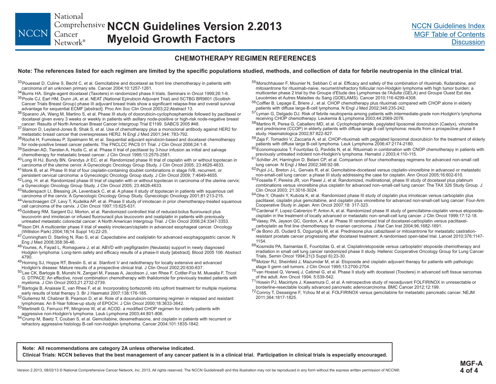<span id="page-12-0"></span>National **NCCN Guidelines Version 2.2013** NCCN Cancer **Myeloid Growth Factors** Network®

### **CHEMOTHERAPY REGIMEN REFERENCES**

#### Note: The references listed for each regimen are limited by the specific populations studied, methods, and collection of data for febrile neutropenia in the clinical trial.

- $^{33}$ Pouessel D, Culine S, Becht C, et al. Gemcitabine and docetaxel as front line chemotherapy in patients with carcinoma of an unknown primary site. Cancer 2004;10:1257-1261.
- 34 Burris HA. Single-agent docetaxel (Taxotere) in randomized phase II trials. Seminars in Oncol 1999;26:1-6.
- <sup>35</sup>Poole CJ, Earl HM, Dunn JA, et al. NEAT (National Epirubicin Adjuvant Trial) and SCTBG BR9601 (Scottish Cancer Trials Breast Group) phase III adjuvant breast trials show a significant relapse-free and overall survival advantage for sequential ECMF [abstract]. Proc Am Soc Clin Oncol 2003;22:Abstract 13.
- <sup>36</sup>Sparano JA, Wang M, Martino S, et al. Phase III study of doxorubicin-cyclophosphamide followed by paclitaxel or docetaxel given every 3 weeks or weekly in patients with axillary node-positive or high-risk node-negative breast cancer: Results of North American Breast Cancer Intergroup Trial E1199. SABCS 2005 #48.
- $^{37}$ Slamon D, Leyland-Jones B, Shak S, et al. Use of chemotherapy plus a monoclonal antibody against HER2 for metastatic breast cancer that overexpresses HER2. N Engl J Med 2001;344: 783-792.
- <sup>38</sup> Roché H, Fumoleau P, Spielmann M, et al. Sequential adjuvant epirubicin-based and docetaxel chemotherapy for node-positive breast cancer patients: The FNCLCC PACS 01 Trial. J Clin Oncol 2006;24:1-8.
- <sup>39</sup>Seidman AD, Tiersten A, Hudis C, et al. Phase II trial of paclitaxel by 3-hour infusion as initial and salvage chemotherapy for metastatic breast cancer. J Clin Oncol 1995;13:2575-2581.
- <sup>40</sup>Long III HJ, Bundy BN, Grendys Jr EC, et al. Randomized phase III trial of cisplatin with or without topotecan in carcinoma of the uterine cervix: A Gynecologic Oncology Group Study. J Clin Oncol 2005; 23:4626-4633.
- <sup>41</sup> Monk B, et al. Phase III trial of four cisplatin-containing doublet combinations in stage IVB, recurrent, or persistent cervical carcinoma: a Gynecologic Oncology Group study. J Clin Oncol 2009; 7:4649-4655.
- $^{42}$ Long, H. et al. Randomized phase III trial of cisplatin with or without topotecan in carcinoma of the uterine cervix: a Gynecologic Oncology Group Study. J Clin Oncol 2005; 23:4626-4633.
- $^{43}$ Muderspach LI, Blessing JA, Levenback C, et al. A phase II study of topotecan in patients with squamous cell carcinoma of the cervix: A Gynecologic Oncology Group Study. Gynecologic Oncology 2001;81:213-215.
- 44 Verschraegen CF, Levy T, Kudelka AP, et al. Phase II study of irinotecan in prior chemotherapy-treated squamous cell carcinoma of the cervix. J Clin Oncol 1997;15:625-631.
- <sup>45</sup>Goldberg RM, Sargent DJ, Morton, et al. Randomized controlled trial of reduced-bolus fluorouracil plus leucovorin and irinotecan or infused fluorouracil plus leucovorin and oxaliplatin in patients with previously untreated metastatic colorectal cancer: A North American Intergroup Trial. J Clin Oncol 2006;24:3347-3353.
- <sup>46</sup>llson DH. A multicenter phase II trial of weekly irinotecan/cisplatin in advanced esophageal cancer. Oncology (Williston Park) 2004;18(14 Suppl 14):22-25.
- <sup>47</sup> Cunningham D, Starling N, Rao S, et al. Capectiabine and oxaliplatin for advanced esophagogastric cancer. N Eng J Med 2008;358:36-46.
- <sup>48</sup> Younes, A, Fayad L, Romaguera J, et al. ABVD with pegfilgrastim (Neulasta) support in newly diagnosed Hodgkin lymphoma: Long-term safety and efficacy results of a phase-II study [abstract]. Blood 2005 106: Abstract 4790.
- 49 Horning SJ, Hoppe RT, Breslin S, et al. Stanford V and radiotherapy for locally extensive and advanced Hodgkin's disease: Mature results of a prospective clinical trial. J Clin Oncol 2002;20:630-637.

<sup>50</sup>Lee CK, Barlogie B, Munshi N, Zangari M, Fassas A, Jacobson J, van Rhee F, Cottler-Fox M, Muwalla F, Tricot G. DTPACE: An effective, novel combination chemotherapy with thalidomide for previously treated patients with myeloma. J Clin Oncol 2003;21:2732-2739.

<sup>51</sup> Barlogie B, Anaissie E, van Rhee F, et al. Incorporating bortezomib into upfront treatment for multiple myeloma: early results of total therapy 3. Br J Haematol 2007;138:176-185.

- <sup>52</sup>Gutierrez M, Chabner B, Pearson D, et al. Role of a doxorubicin-containing regimen in relapsed and resistant lymphomas: An 8-Year follow-up study of EPOCH. J Clin Oncol 2000;18:3633-3642.
- 53 Martinelli G, Ferrucci PF, Mingrone W, et al. ACOD, a modified CHOP regimen for elderly patients with aggressive non-Hodgkin's lymphoma. Leuk Lymphoma 2003;44:801-806.
- 54 Crump M, Baetz T, Couban S, et al. Gemcitabine, dexamethasone, and cisplatin in patients with recurrent or refractory aggressive histology B-cell non-hodgkin lymphoma. Cancer 2004;101:1835-1842.
- <sup>55</sup>Morschhauser F, Mounier N, Sebban C et al. Efficacy and safety of the combination of rituximab, fludarabine, and mitoxantrone for rituximab-naive, recurrent/refractory follicular non-Hodgkin lymphoma with high tumor burden: a multicenter phase 2 trial by the Groupe d'Etude des Lymphomes de l'Adulte (GELA) and Groupe Ouest Est des Leucémies et Autres Maladies du Sang (GOELAMS). Cancer 2010;116:4299-4308.
- <sup>56</sup>Coiffier B, Lepage E, Briere J , et al. CHOP chemotherapy plus rituximab compared with CHOP alone in elderly patients with diffuse large-B-cell lymphoma. N Engl J Med 2002;346:235-242.
- <sup>57</sup>Lyman G, Delgado DJ. Risk of febrile neutropenia among patients with intermediate-grade non-Hodgkin's lymphoma receiving CHOP chemotherapy. Leukemia & Lymphoma 2003;44:2069-2076.
- <sup>58</sup>Martino R, Perea G, Caballero MD, et al. Cyclophosphamide, pegylated liposomal doxorubicin (Caelyx), vincristine and prednisone (CCOP) in elderly patients with diffuse large B-cell lymphoma: results from a prospective phase II study. Haematologica 2002;87:822-827.
- <sup>59</sup>Zaja F, Tomadini V, Zaccaria A, et al. CHOP-rituximab with pegylated liposomal doxorubicin for the treatment of elderly patients with diffuse large B-cell lymphoma. Leuk Lymphoma 2006;47:2174-2180.
- <sup>60</sup>Economopoulos T, Fountzilas G, Pavlidis N, et al. Rituximab in combination with CNOP chemotherapy in patients with previously untreated indolent non-Hodgkin's lymphoma. Hematol J 2003;4:110-115.
- <sup>61</sup> Schiller JH, Harrington D, Belani CP, et al. Comparison of four chemotherapy regimens for advanced non-small cell lung cancer. N Engl J Med 2002;346:92-98.
- <sup>62</sup> Pujol J-L, Breton J-L, Gervais R, et al. Gemcitabine-docetaxel versus cisplatin-vinorelbine in advanced or metastatic non-small-cell lung cancer: a phase III study addressing the case for cisplatin. Ann Oncol 2005;16:602-610.
- <sup>63</sup>Fossella F, Pereira JR, von Pawel J, et al. Randomized, multinational, phase III study of docetaxel plus platinum combinations versus vinorelbine plus cisplatin for advanced non–small-cell lung cancer: The TAX 326 Study Group. J Clin Oncol 2003; 21:3016-3024.
- <sup>64</sup>Ohe Y, Ohashi Y, Kubota K, et al. Randomized phase III study of cisplatin plus irinotecan versus carboplatin plus paclitaxel, cisplatin plus gemcitabine, and cisplatin plus vinorelbine for advanced non-small-cell lung cancer: Four-Arm Cooperative Study in Japan. Ann Oncol 2007;18: 317-323.
- <sup>65</sup>Cardenal F, Lopez-Cabrerizo P, Anton A, et al. Randomized phase III study of gemcitabine-cisplatin versus etoposidecisplatin in the treatment of locally advanced or metastatic non–small-cell lung cancer. J Clin Oncol 1999;17:12-18.
- <sup>66</sup>Vasey, PA, Jayson GC, Gordon, A, et al. Phase III randomized trial of docetaxel-carboplatin versus paclitaxelcarboplatin as first line chemotherapy for ovarian carcinoma. J Nat Can Inst 2004;96,1682-1691.
- 67 de Bono JS, Oudard S, Ozguroglu M, et al. Prednisone plus cabazitaxel or mitoxantrone for metastatic castrationresistant prostate cancer progressing after docetaxel treatment: A randomised open-label trial. Lancet 2010;376:1147- 1154.
- 68 Kosmidis PA, Samantas E, Fountzilas G, et al. Cisplatin/etoposide versus carboplatin/ etoposide chemotherapy and irradiation in small cell lung cancer randomized phase II study. Hellenic Cooperative Oncology Group for Lung Cancer Trials. Semin Oncol 1994;21(3 Suppl 6):23-30.
- <sup>69</sup>Motzer RJ, Sheinfeld J, Mazumdar M, et al. Etoposide and cisplatin adjuvant therapy for patients with pathologic stage II germ cell tumors. J Clin Oncol 1995;13:2700-2704.
- <sup>70</sup>van Hoesel Q, Verweij J, Catimel G, et al. Phase II study with docetaxel (Toxotere) in advanced soft tissue sarcomas of the adult. Ann Oncol 1994; 5:539-542.
- <sup>71</sup>Hosein PJ, Macintyre J, Kawamura C, et al. A retrospective study of neoadjuvant FOLFIRINOX in unresectable or borderline-resectable locally advanced pancreatic adenocarcinoma. BMC Cancer 2012;12:199.
- <sup>72</sup>Conroy T, Desseigne F, Ychou M et al. FOLFIRINOX versus gemcitabine for metastatic pancreatic cancer. NEJM 2011;364:1817-1825.

**Note: All recommendations are category 2A unless otherwise indicated.**

Clinical Trials: NCCN believes that the best management of any cancer patient is in a clinical trial. Participation in clinical trials is especially encouraged.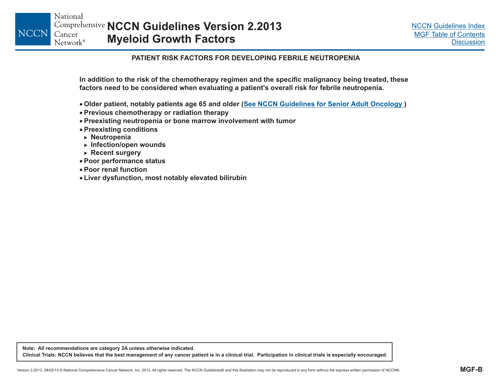### **PATIENT RISK FACTORS FOR DEVELOPING FEBRILE NEUTROPENIA**

<span id="page-13-0"></span>In addition to the risk of the chemotherapy regimen and the specific malignancy being treated, these factors need to be considered when evaluating a patient's overall risk for febrile neutropenia.

- Older patient, notably patients age 65 and older (<u>See NCCN Guidelines for Senior Adult [Oncology](#page-0-0) )</u>
- **Previous chemotherapy or radiation therapy**
- **Preexisting neutropenia or bone marrow involvement with tumor**
- **Preexisting conditions**
- **Neutropenia** -
- **Infection/open wounds** -
- **Recent surgery** -
- **Poor performance status**
- **Poor renal function**
- **Liver dysfunction, most notably elevated bilirubin**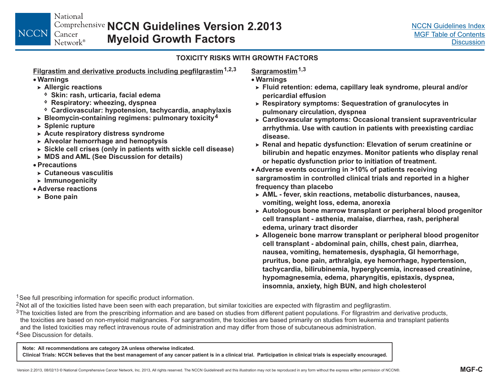National **NCCN Guidelines Version 2.2013**Cancer **Myeloid Growth Factors** Network®

### **TOXICITY RISKS WITH GROWTH FACTORS**

**Filgrastim and derivative products including pegfilgrastim1,2,3**

**Warnings**

<span id="page-14-0"></span>**NCCN** 

- **Allergic reactions** -
	- **Skin: rash, urticaria, facial edema**
	- **Respiratory: wheezing, dyspnea**
- **anaphylaxis Cardiovascular: hypotension, tachycardia,**
- -**Bleomycin-containing regimens: pulmonary toxicity 4**
- **Splenic rupture** -
- **Acute respiratory distress syndrome** -
- **Alveolar hemorrhage and hemoptysis** -
- **Sickle cell crises (only in patients with sickle cell disease)**
- **MDS and AML (See Discussion for details)**
- **Precautions**
- **Cutaneous vasculitis**-
- **Immunogenicity** -
- **Adverse reactions**
- **Bone pain** -

**Sargramostim1,3**

- **Warnings**
	- **Fluid retention: edema, capillary leak syndrome, pleural and/or pericardial effusion**
	- **Respiratory symptoms: Sequestration of granulocytes in pulmonary circulation, dyspnea**
	- **Cardiovascular symptoms: Occasional transient supraventricular arrhythmia. Use with caution in patients with preexisting cardiac disease.**
- **Renal and hepatic dysfunction: Elevation of serum creatinine or bilirubin and hepatic enzymes. Monitor patients who display renal or hepatic dysfunction prior to initiation of treatment.**
- **Adverse events occurring in >10% of patients receiving sargramostim in controlled clinical trials and reported in <sup>a</sup> higher frequency than placebo**
- -**AML - fever, skin reactions, metabolic disturbances, nausea, vomiting, weight loss, edema, anorexia**
- **Autologous bone marrow transplant or peripheral blood progenitor cell transplant - asthenia, malaise, diarrhea, rash, peripheral edema, urinary tract disorder**
- -**Allogeneic bone marrow transplant or peripheral blood progenitor cell transplant - abdominal pain, chills, chest pain, diarrhea, nausea, vomiting, hematemesis, dysphagia, GI hemorrhage, pruritus, bone pain, arthralgia, eye hemorrhage, hypertension, tachycardia, bilirubinemia, hyperglycemia, increased creatinine, hypomagnesemia, edema, pharyngitis, epistaxis, dyspnea, insomnia, anxiety, high BUN, and high cholesterol**

<sup>1</sup> See full prescribing information for specific product information.

- $2$ Not all of the toxicities listed have been seen with each preparation, but similar toxicities are expected with filgrastim and pegfilgrastim.
- <sup>4</sup>See Discussion for details.  $3$ The toxicities listed are from the prescribing information and are based on studies from different patient populations. For filgrastrim and derivative products, the toxicities are based on non-myeloid malignancies. For sargramostim, the toxicities are based primarily on studies from leukemia and transplant patients and the listed toxicities may reflect intravenous route of administration and may differ from those of subcutaneous administration.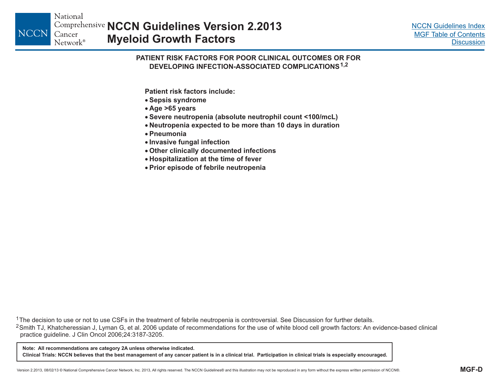<span id="page-15-0"></span>**NCCN** 

### **PATIENT RISK FACTORS FOR POOR CLINICAL OUTCOMES OR FORDEVELOPING INFECTION-ASSOCIATED COMPLICATIONS1,2**

**Patient risk factors include:**

- **Sepsis syndrome**
- **Age >65 years**
- **Severe neutropenia (absolute neutrophil count <100/mcL)**
- **Neutropenia expected to be more than 10 days in duration**
- **Pneumonia**
- **Invasive fungal infection**
- **Other clinically documented infections**
- **Hospitalization at the time of fever**
- **Prior episode of febrile neutropenia**

<sup>1</sup>The decision to use or not to use CSFs in the treatment of febrile neutropenia is controversial. See Discussion for further details.

 $^{2}$ Smith TJ, Khatcheressian J, Lyman G, et al. 2006 update of recommendations for the use of white blood cell growth factors: An evidence-based clinical practice guideline. J Clin Oncol 2006;24:3187-3205.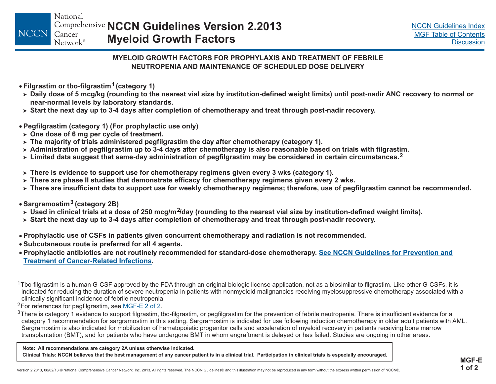### **MYELOID GROWTH FACTORS FOR PROPHYLAXIS AND TREATMENT OF FEBRILENEUTROPENIA AND MAINTENANCE OF SCHEDULED DOSE DELIVERY**

- <span id="page-16-0"></span>**Filgrastim or tbo-filgrastim (category 1) 1**
- ► Daily dose of 5 mcg/kg (rounding to the nearest vial size by institution-defined weight limits) until post-nadir ANC recovery to normal or **near-normal levels by laboratory standards.**
- $\triangleright$  Start the next day up to 3-4 days after completion of chemotherapy and treat through post-nadir recovery.
- **Pegfilgrastim (category 1) (For prophylactic use only)**
- **One dose of 6 mg per cycle of treatment.** -
- $\triangleright$  The majority of trials administered pegfilgrastim the day after chemotherapy (category 1).
- ► Administration of pegfilgrastim up to 3-4 days after chemotherapy is also reasonable based on trials with filgrastim.
- ► Limited data suggest that same-day administration of pegfilgrastim may be considered in certain circumstances.<sup>2</sup>
- $\triangleright$  There is evidence to support use for chemotherapy regimens given every 3 wks (category 1).
- $\triangleright$  There are phase II studies that demonstrate efficacy for chemotherapy regimens given every 2 wks.
- ► There are insufficient data to support use for weekly chemotherapy regimens; therefore, use of pegfilgrastim cannot be recommended.
- **Sargramostim (category 2B) 3**
- ► Used in clinical trials at a dose of 250 mcg/m<sup>2</sup>/day (rounding to the nearest vial size by institution-defined weight limits).
- $\triangleright$  Start the next day up to 3-4 days after completion of chemotherapy and treat through post-nadir recovery.
- Prophylactic use of CSFs in patients given concurrent chemotherapy and radiation is not recommended.
- **Subcutaneous route is preferred for all 4 agents .**
- Prophylactic antibiotics are not routinely recommended for standard-dose chemotherapy. <u>See NCCN [Guidelines](#page-0-0) for Prevention and</u> **Treatment of [Cancer-Related](#page-0-0) Infections.**

<sup>1</sup>Tbo-filgrastim is a human G-CSF approved by the FDA through an original biologic license application, not as a biosimilar to filgrastim. Like other G-CSFs, it is indicated for reducing the duration of severe neutropenia in patients with nonmyeloid malignancies receiving myelosuppressive chemotherapy associated with a clinically significant incidence of febrile neutropenia.

<sup>2</sup>For references for pegfilgrastim, see <u>MGF-E 2 of 2</u>.

 $3$ There is category 1 evidence to support filgrastim, tbo-filgrastim, or pegfilgrastim for the prevention of febrile neutropenia. There is insufficient evidence for a category 1 recommendation for sargramostim in this setting. Sargramostim is indicated for use following induction chemotherapy in older adult patients with AML. Sargramostim is also indicated for mobilization of hematopoietic progenitor cells and acceleration of myeloid recovery in patients receiving bone marrow transplantation (BMT), and for patients who have undergone BMT in whom engraftment is delayed or has failed. Studies are ongoing in other areas.

**Note: All recommendations are category 2A unless otherwise indicated.**

Clinical Trials: NCCN believes that the best management of any cancer patient is in a clinical trial. Participation in clinical trials is especially encouraged.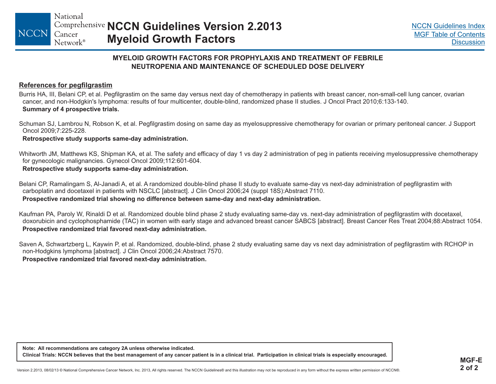### **MYELOID GROWTH FACTORS FOR PROPHYLAXIS AND TREATMENT OF FEBRILENEUTROPENIA AND MAINTENANCE OF SCHEDULED DOSE DELIVERY**

### <span id="page-17-0"></span>**References for pegfilgrastim**

Burris HA, III, Belani CP, et al. Pegfilgrastim on the same day versus next day of chemotherapy in patients with breast cancer, non-small-cell lung cancer, ovarian cancer, and non-Hodgkin's lymphoma: results of four multicenter, double-blind, randomized phase II studies. J Oncol Pract 2010;6:133-140. **Summary of 4 prospective trials.**

Schuman SJ, Lambrou N, Robson K, et al. Pegfilgrastim dosing on same day as myelosuppressive chemotherapy for ovarian or primary peritoneal cancer. J Support Oncol 2009;7:225-228.

**Retrospective study supports same-day administration.**

Whitworth JM, Matthews KS, Shipman KA, et al. The safety and efficacy of day 1 vs day 2 administration of peg in patients receiving myelosuppressive chemotherapy for gynecologic malignancies. Gynecol Oncol 2009;112:601-604.

**Retrospective study supports same-day administration.**

Belani CP, Ramalingam S, Al-Janadi A, et al. A randomized double-blind phase II study to evaluate same-day vs next-day administration of pegfilgrastim with carboplatin and docetaxel in patients with NSCLC [abstract]. J Clin Oncol 2006;24 (suppl 18S):Abstract 7110. Prospective randomized trial showing no difference between same-day and next-day administration.

Kaufman PA, Paroly W, Rinaldi D et al. Randomized double blind phase 2 study evaluating same-day vs. next-day administration of pegfilgrastim with docetaxel, doxorubicin and cyclophosphamide (TAC) in women with early stage and advanced breast cancer SABCS [abstract]. Breast Cancer Res Treat 2004;88:Abstract 1054. **Prospective randomized trial favored next-day administration.**

Saven A, Schwartzberg L, Kaywin P, et al. Randomized, double-blind, phase 2 study evaluating same day vs next day administration of pegfilgrastim with RCHOP in non-Hodgkins lymphoma [abstract]. J Clin Oncol 2006;24:Abstract 7570. **Prospective randomized trial favored next-day administration.**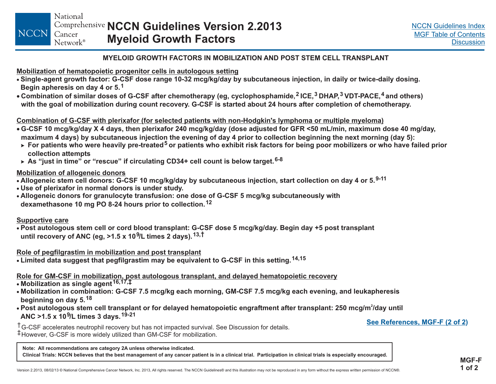### **MYELOID GROWTH FACTORS IN MOBILIZATION AND POST STEM CELL TRANSPLANT**

<span id="page-18-0"></span>**Mobilization of hematopoietic progenitor cells in autologous setting**

- Single-agent growth factor: G-CSF dose range 10-32 mcg/kg/day by subcutaneous injection, in daily or twice-daily dosing. **Begin apheresis on day 4 or 5. 1**
- $\bullet$  Combination of similar doses of G-CSF after chemotherapy (eg, cyclophosphamide, $^2$  ICE, $^3$  DHAP, $^3$  VDT-PACE, $^4$  and others) with the goal of mobilization during count recovery. G-CSF is started about 24 hours after completion of chemotherapy.

### Combination of G-CSF with plerixafor (for selected patients with non-Hodgkin's lymphoma or multiple myeloma)

- G-CSF 10 mcg/kg/day X 4 days, then plerixafor 240 mcg/kg/day (dose adjusted for GFR <50 mL/min, maximum dose 40 mg/day, maximum 4 days) by subcutaneous injection the evening of day 4 prior to collection beginning the next morning (day 5):
- ► For patients who were heavily pre-treated<sup>5</sup> or patients who exhibit risk factors for being poor mobilizers or who have failed prior **collection attempts**
- ► As "just in time" or "rescue" if circulating CD34+ cell count is below target.<sup>6-8</sup>

### **Mobilization of allogeneic donors**

- Allogeneic stem cell donors: G-CSF 10 mcg/kg/day by subcutaneous injection, start collection on day 4 or 5.<sup>9-11</sup>
- **Use of plerixafor in normal donors is under study.**
- Allogeneic donors for granulocyte transfusion: one dose of G-CSF 5 mcg/kg subcutaneously with **8-24 hours prior to collection. 12 dexamethasone 10 mg PO**

### **Supportive care**

• Post autologous stem cell or cord blood transplant: G-CSF dose 5 mcg/kg/day. Begin day +5 post transplant until recovery of ANC (eg, >1.5 x 10<sup>9</sup>/L times 2 days). $^{13, \dagger}$ 

**Role of pegfilgrastim in mobilization and post transplant**

 $\bullet$  Limited data suggest that pegfilgrastim may be equivalent to G-CSF in this setting.  $^{14,15}$ 

### Role for GM-CSF in mobilization, post autologous transplant, and delayed hematopoietic recovery

- **Mobilization as single agent 16,17, ‡**
- Mobilization in combination: G-CSF 7.5 mcg/kg each morning, GM-CSF 7.5 mcg/kg each evening, and leukapheresis **beginning on day 5. 18**
- $\bullet$  Post autologous stem cell transplant or for delayed hematopoietic engraftment after transplant: 250 mcg/m $^2$ /day until **ANC . 19-21** ANC >1.5 x 10<sup>9</sup>/L times 3 days.<sup>19-21</sup><br><sup>†</sup>G-CSF accelerates neutrophil recovery but has not impacted survival. See Discussion for details. <u>See [References,](#page-19-0) MGF-F (2 of 2</u>)

‡However, G-CSF is more widely utilized than GM-CSF for mobilization.

**Note: All recommendations are category 2A unless otherwise indicated.**

Clinical Trials: NCCN believes that the best management of any cancer patient is in a clinical trial. Participation in clinical trials is especially encouraged.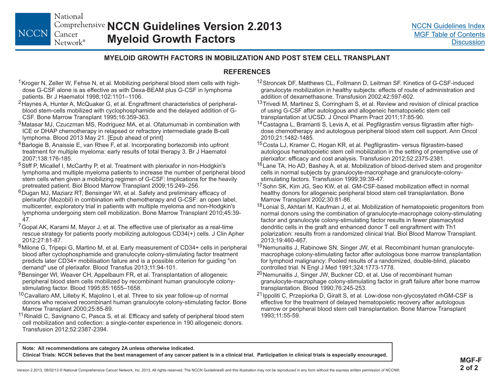### **MYELOID GROWTH FACTORS IN MOBILIZATION AND POST STEM CELL TRANSPLANT**

### **REFERENCES**

<sup>1</sup> Kroger N, Zeller W, Fehse N, et al. Mobilizing peripheral blood stem cells with highdose G-CSF alone is as effective as with Dexa-BEAM plus G-CSF in lymphoma patients. Br J Haematol 1998;102:1101–1106.

<span id="page-19-0"></span>**NCCN** 

- <sup>2</sup>Haynes A, Hunter A, McQuaker G, et al. Engraftment characteristics of peripheralblood stem-cells mobilized with cyclophosphamide and the delayed addition of G-CSF. Bone Marrow Transplant 1995;16:359-363.
- <sup>3</sup>Matasar MJ, Czuczman MS, Rodriguez MA, et al. Ofatumumab in combination with ICE or DHAP chemotherapy in relapsed or refractory intermediate grade B-cell lymphoma. Blood 2013 May 21. [Epub ahead of print]
- <sup>4</sup> Barlogie B, Anaissie E, van Rhee F, et al. Incorporating bortezomib into upfront treatment for multiple myeloma: early results of total therapy 3. Br J Haematol 2007;138:176-185.
- <sup>5</sup>Stiff P, Micallef I, McCarthy P, et al. Treatment with plerixafor in non-Hodgkin's lymphoma and multiple myeloma patients to increase the number of peripheral blood stem cells when given a mobilizing regimen of G-CSF: Implications for the heavily pretreated patient. Biol Blood Marrow Transplant 2009;15:249–256.
- 6 Dugan MJ, Maziarz RT, Bensinger WI, et al. Safety and preliminary efficacy of plerixafor (Mozobil) in combination with chemotherapy and G-CSF: an open label, multicenter, exploratory trial in patients with multiple myeloma and non-Hodgkin's lymphoma undergoing stem cell mobilization. Bone Marrow Transplant 2010;45:39- 47.
- $\mathrm{^{7}}$ Gopal AK, Karami M, Mayor J, et al. The effective use of plerixafor as a real-time rescue strategy for patients poorly mobilizing autologous CD34(+) cells. J Clin Apher 2012;27:81-87.
- $8$ Milone G, Tripepi G, Martino M, et al. Early measurement of CD34+ cells in peripheral blood after cyclophosphamide and granulocyte colony-stimulating factor treatment predicts later CD34+ mobilisation failure and is a possible criterion for guiding "on demand" use of plerixafor. Blood Transfus 2013;11:94-101.
- <sup>9</sup>Bensinger WI, Weaver CH, Appelbaum FR, et al. Transplantation of allogeneic peripheral blood stem cells mobilized by recombinant human granulocyte colonystimulating factor. Blood 1995;85:1655–1658.
- <sup>10</sup>Cavallaro AM, Lilleby K, Majolino I, et al. Three to six year follow-up of normal donors who received recombinant human granulocyte colony-stimulating factor. Bone Marrow Transplant 2000;25:85-89.
- <sup>11</sup> Rinaldi C, Savignano C, Pasca S, et al. Efficacy and safety of peripheral blood stem cell mobilization and collection: a single-center experience in 190 allogeneic donors. Transfusion 2012;52:2387-2394.
- <sup>12</sup> Stroncek DF, Matthews CL, Follmann D, Leitman SF. Kinetics of G-CSF-induced granulocyte mobilization in healthy subjects: effects of route of administration and addition of dexamethasone. Transfusion 2002;42:597-602.
- <sup>13</sup> Trivedi M, Martinez S, Corringham S, et al. Review and revision of clinical practice of using G-CSF after autologous and allogeneic hematopoietic stem cell transplantation at UCSD. J Oncol Pharm Pract 2011;17:85-90.
- <sup>14</sup>Castagna L, Bramanti S, Levis A, et al. Pegfilgrastim versus filgrastim after highdose chemotherapy and autologous peripheral blood stem cell support. Ann Oncol 2010;21:1482-1485.
- <sup>15</sup>Costa LJ, Kramer C, Hogan KR, et al. Pegfilgrastim- versus filgrastim-based autologous hematopoietic stem cell mobilization in the setting of preemptive use of plerixafor: efficacy and cost analysis. Transfusion 2012;52:2375-2381.
- <sup>16</sup>Lane TA, Ho AD, Bashey A, et al. Mobilization of blood-derived stem and progenitor cells in normal subjects by granulocyte-macrophage and granulocyte-colonystimulating factors. Transfusion 1999;39:39-47.
- <sup>17</sup> Sohn SK, Kim JG, Seo KW, et al. GM-CSF-based mobilization effect in normal healthy donors for allogeneic peripheral blood stem cell transplantation. Bone Marrow Transplant 2002;30:81-86.
- <sup>18</sup> Lonial S, Akhtari M, Kaufman J, et al. Mobilization of hematopoietic progenitors from normal donors using the combination of granulocyte-macrophage colony-stimulating factor and granulocyte colony-stimulating factor results in fewer plasmacytoid dendritic cells in the graft and enhanced donor T cell engraftment with Th1 polarization: results from a randomized clinical trial. Biol Blood Marrow Transplant. 2013;19:460-467.
- <sup>19</sup>Nemunaitis J, Rabinowe SN, Singer JW, et al. Recombinant human granulocytemacrophage colony-stimulating factor after autologous bone marrow transplantation for lymphoid malignancy: Pooled results of a randomized, double-blind, placebo controlled trial. N Engl J Med 1991;324:1773-1778.
- <sup>20</sup>Nemunaitis J, Singer JW, Buckner CD, et al. Use of recombinant human granulocyte-macrophage colony-stimulating factor in graft failure after bone marrow transplantation. Blood 1990;76:245-253.
- <sup>21</sup> Ippoliti C, Przepiorka D, Giralt S, et al. Low-dose non-glycosylated rhGM-CSF is effective for the treatment of delayed hematopoietic recovery after autologous marrow or peripheral blood stem cell transplantation. Bone Marrow Transplant 1993;11:55-59.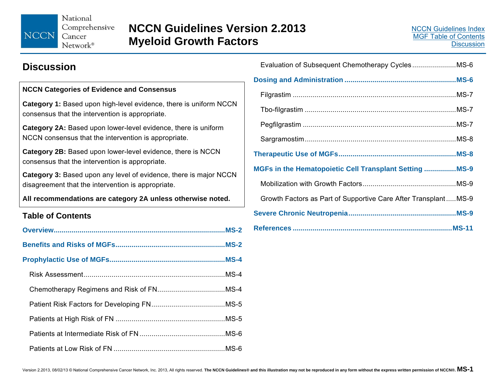<span id="page-20-0"></span>National Comprehensive NCCN Cancer

Network®

### **Discussion**

### **NCCN Categories of Evidence and Consensus**

**Category 1:** Based upon high-level evidence, there is uniform NCCN consensus that the intervention is appropriate.

**Category 2A:** Based upon lower-level evidence, there is uniform NCCN consensus that the intervention is appropriate.

**Category 2B:** Based upon lower-level evidence, there is NCCN consensus that the intervention is appropriate.

**Category 3:** Based upon any level of evidence, there is major NCCN disagreement that the intervention is appropriate.

**All recommendations are category 2A unless otherwise noted.** 

### **Table of Contents**

| MGFs in the Hematopoietic Cell Transplant Setting  MS-9        |  |
|----------------------------------------------------------------|--|
|                                                                |  |
| Growth Factors as Part of Supportive Care After TransplantMS-9 |  |
|                                                                |  |
|                                                                |  |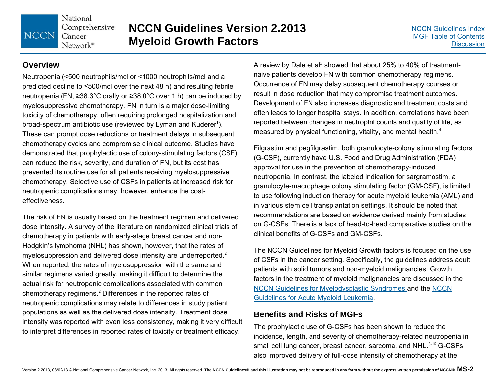### **NCCN Guidelines Version 2.2013 Myeloid Growth Factors**

### **Overview**

**NCCN** 

Neutropenia (<500 neutrophils/mcl or <1000 neutrophils/mcl and a predicted decline to ≤500/mcl over the next 48 h) and resulting febrile neutropenia (FN, ≥38.3°C orally or ≥38.0°C over 1 h) can be induced by myelosuppressive chemotherapy. FN in turn is a major dose-limiting toxicity of chemotherapy, often requiring prolonged hospitalization and broad-spectrum antibiotic use (reviewed by Lyman and Kuderer<sup>1</sup>). These can prompt dose reductions or treatment delays in subsequent chemotherapy cycles and compromise clinical outcome. Studies have demonstrated that prophylactic use of colony-stimulating factors (CSF) can reduce the risk, severity, and duration of FN, but its cost has prevented its routine use for all patients receiving myelosuppressive chemotherapy. Selective use of CSFs in patients at increased risk for neutropenic complications may, however, enhance the costeffectiveness.

The risk of FN is usually based on the treatment regimen and delivered dose intensity. A survey of the literature on randomized clinical trials of chemotherapy in patients with early-stage breast cancer and non-Hodgkin's lymphoma (NHL) has shown, however, that the rates of myelosuppression and delivered dose intensity are underreported.<sup>2</sup> When reported, the rates of myelosuppression with the same and similar regimens varied greatly, making it difficult to determine the actual risk for neutropenic complications associated with common chemotherapy regimens.<sup>2</sup> Differences in the reported rates of neutropenic complications may relate to differences in study patient populations as well as the delivered dose intensity. Treatment dose intensity was reported with even less consistency, making it very difficult to interpret differences in reported rates of toxicity or treatment efficacy.

A review by Dale et al<sup>3</sup> showed that about 25% to 40% of treatmentnaive patients develop FN with common chemotherapy regimens. Occurrence of FN may delay subsequent chemotherapy courses or result in dose reduction that may compromise treatment outcomes. Development of FN also increases diagnostic and treatment costs and often leads to longer hospital stays. In addition, correlations have been reported between changes in neutrophil counts and quality of life, as measured by physical functioning, vitality, and mental health.<sup>4</sup>

Filgrastim and pegfilgrastim, both granulocyte-colony stimulating factors (G-CSF), currently have U.S. Food and Drug Administration (FDA) approval for use in the prevention of chemotherapy-induced neutropenia. In contrast, the labeled indication for sargramostim, a granulocyte-macrophage colony stimulating factor (GM-CSF), is limited to use following induction therapy for acute myeloid leukemia (AML) and in various stem cell transplantation settings. It should be noted that recommendations are based on evidence derived mainly from studies on G-CSFs. There is a lack of head-to-head comparative studies on the clinical benefits of G-CSFs and GM-CSFs.

The NCCN Guidelines for Myeloid Growth factors is focused on the use of CSFs in the cancer setting. Specifically, the guidelines address adult patients with solid tumors and non-myeloid malignancies. Growth factors in the treatment of myeloid malignancies are discussed in the [NCCN Guidelines for Myelodysplastic Syndromes a](#page-0-0)nd the [NCCN](#page-0-0)  [Guidelines for Acute Myeloid Leukemia.](#page-0-0) 

### **Benefits and Risks of MGFs**

The prophylactic use of G-CSFs has been shown to reduce the incidence, length, and severity of chemotherapy-related neutropenia in small cell lung cancer, breast cancer, sarcoma, and NHL.<sup>5-16</sup> G-CSFs also improved delivery of full-dose intensity of chemotherapy at the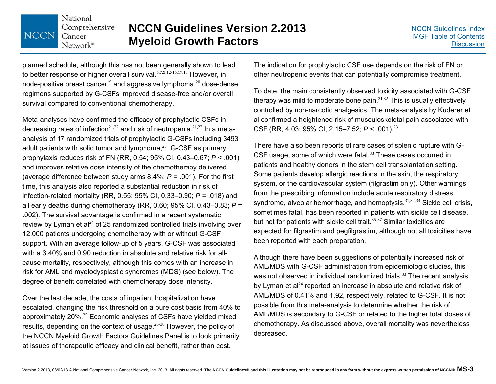

### **NCCN Guidelines Version 2.2013 Myeloid Growth Factors**

planned schedule, although this has not been generally shown to lead to better response or higher overall survival.<sup>5,7,9,12-15,17,18</sup> However, in node-positive breast cancer<sup>19</sup> and aggressive lymphoma,<sup>20</sup> dose-dense regimens supported by G-CSFs improved disease-free and/or overall survival compared to conventional chemotherapy.

Meta-analyses have confirmed the efficacy of prophylactic CSFs in decreasing rates of infection<sup>21,22</sup> and risk of neutropenia.<sup>21,22</sup> In a metaanalysis of 17 randomized trials of prophylactic G-CSFs including 3493 adult patients with solid tumor and lymphoma, $^{23}$  G-CSF as primary prophylaxis reduces risk of FN (RR, 0.54; 95% CI, 0.43–0.67; *P* < .001) and improves relative dose intensity of the chemotherapy delivered (average difference between study arms 8.4%; *P* = .001). For the first time, this analysis also reported a substantial reduction in risk of infection-related mortality (RR, 0.55; 95% CI, 0.33–0.90; *P* = .018) and all early deaths during chemotherapy (RR, 0.60; 95% CI, 0.43–0.83; *P* <sup>=</sup> .002). The survival advantage is confirmed in a recent systematic review by Lyman et al $^{24}$  of 25 randomized controlled trials involving over 12,000 patients undergoing chemotherapy with or without G-CSF support. With an average follow-up of 5 years, G-CSF was associated with a 3.40% and 0.90 reduction in absolute and relative risk for allcause mortality, respectively, although this comes with an increase in risk for AML and myelodysplastic syndromes (MDS) (see below). The degree of benefit correlated with chemotherapy dose intensity.

Over the last decade, the costs of inpatient hospitalization have escalated, changing the risk threshold on a pure cost basis from 40% to approximately 20%.<sup>25</sup> Economic analyses of CSFs have yielded mixed results, depending on the context of usage.26-30 However, the policy of the NCCN Myeloid Growth Factors Guidelines Panel is to look primarily at issues of therapeutic efficacy and clinical benefit, rather than cost.

The indication for prophylactic CSF use depends on the risk of FN or other neutropenic events that can potentially compromise treatment.

To date, the main consistently observed toxicity associated with G-CSF therapy was mild to moderate bone pain. $31,32$  This is usually effectively controlled by non-narcotic analgesics. The meta-analysis by Kuderer et al confirmed a heightened risk of musculoskeletal pain associated with CSF (RR, 4.03; 95% CI, 2.15–7.52; *<sup>P</sup>* < .001).<sup>23</sup>

There have also been reports of rare cases of splenic rupture with G-CSF usage, some of which were fatal.<sup>33</sup> These cases occurred in patients and healthy donors in the stem cell transplantation setting. Some patients develop allergic reactions in the skin, the respiratory system, or the cardiovascular system (filgrastim only). Other warnings from the prescribing information include acute respiratory distress syndrome, alveolar hemorrhage, and hemoptysis.<sup>31,32,34</sup> Sickle cell crisis, sometimes fatal, has been reported in patients with sickle cell disease, but not for patients with sickle cell trait.<sup>35-37</sup> Similar toxicities are expected for filgrastim and pegfilgrastim, although not all toxicities have been reported with each preparation.

Although there have been suggestions of potentially increased risk of AML/MDS with G-CSF administration from epidemiologic studies, this was not observed in individual randomized trials.<sup>33</sup> The recent analysis by Lyman et al $^{24}$  reported an increase in absolute and relative risk of AML/MDS of 0.41% and 1.92, respectively, related to G-CSF. It is not possible from this meta-analysis to determine whether the risk of AML/MDS is secondary to G-CSF or related to the higher total doses of chemotherapy. As discussed above, overall mortality was nevertheless decreased.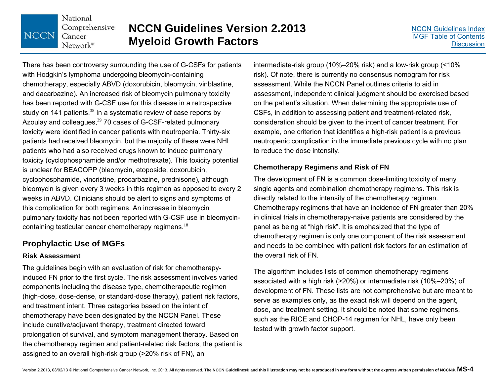## **NCCN Guidelines Version 2.2013 Myeloid Growth Factors**

There has been controversy surrounding the use of G-CSFs for patients with Hodgkin's lymphoma undergoing bleomycin-containing chemotherapy, especially ABVD (doxorubicin, bleomycin, vinblastine, and dacarbazine). An increased risk of bleomycin pulmonary toxicity has been reported with G-CSF use for this disease in a retrospective study on 141 patients. $38$  In a systematic review of case reports by Azoulay and colleagues,<sup>39</sup> 70 cases of G-CSF-related pulmonary toxicity were identified in cancer patients with neutropenia. Thirty-six patients had received bleomycin, but the majority of these were NHL patients who had also received drugs known to induce pulmonary toxicity (cyclophosphamide and/or methotrexate). This toxicity potential is unclear for BEACOPP (bleomycin, etoposide, doxorubicin, cyclophosphamide, vincristine, procarbazine, prednisone), although bleomycin is given every 3 weeks in this regimen as opposed to every 2 weeks in ABVD. Clinicians should be alert to signs and symptoms of this complication for both regimens. An increase in bleomycin pulmonary toxicity has not been reported with G-CSF use in bleomycincontaining testicular cancer chemotherapy regimens.<sup>18</sup>

### **Prophylactic Use of MGFs**

National

Cancer Network<sup>®</sup>

**NCCN** 

Comprehensive

### **Risk Assessment**

The guidelines begin with an evaluation of risk for chemotherapyinduced FN prior to the first cycle. The risk assessment involves varied components including the disease type, chemotherapeutic regimen (high-dose, dose-dense, or standard-dose therapy), patient risk factors, and treatment intent. Three categories based on the intent of chemotherapy have been designated by the NCCN Panel. These include curative/adjuvant therapy, treatment directed toward prolongation of survival, and symptom management therapy. Based on the chemotherapy regimen and patient-related risk factors, the patient is assigned to an overall high-risk group (>20% risk of FN), an

intermediate-risk group (10%–20% risk) and a low-risk group (<10% risk). Of note, there is currently no consensus nomogram for risk assessment. While the NCCN Panel outlines criteria to aid in assessment, independent clinical judgment should be exercised based on the patient's situation. When determining the appropriate use of CSFs, in addition to assessing patient and treatment-related risk, consideration should be given to the intent of cancer treatment. For example, one criterion that identifies a high-risk patient is a previous neutropenic complication in the immediate previous cycle with no plan to reduce the dose intensity.

### **Chemotherapy Regimens and Risk of FN**

The development of FN is a common dose-limiting toxicity of many single agents and combination chemotherapy regimens. This risk is directly related to the intensity of the chemotherapy regimen. Chemotherapy regimens that have an incidence of FN greater than 20% in clinical trials in chemotherapy-naive patients are considered by the panel as being at "high risk". It is emphasized that the type of chemotherapy regimen is only one component of the risk assessment and needs to be combined with patient risk factors for an estimation of the overall risk of FN.

The algorithm includes lists of common chemotherapy regimens associated with a high risk (>20%) or intermediate risk (10%–20%) of development of FN. These lists are not comprehensive but are meant to serve as examples only, as the exact risk will depend on the agent, dose, and treatment setting. It should be noted that some regimens, such as the RICE and CHOP-14 regimen for NHL, have only been tested with growth factor support.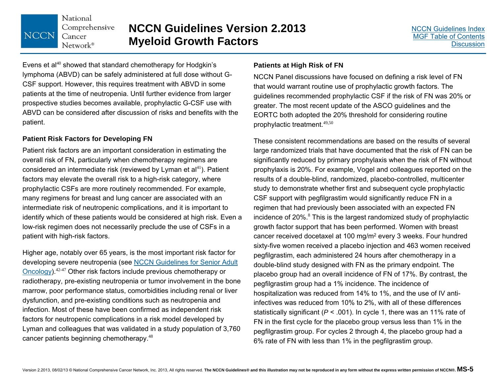National Comprehensive Cancer  $Network^{\circ}$ 

**NCCN** 

Evens et al<sup>40</sup> showed that standard chemotherapy for Hodgkin's lymphoma (ABVD) can be safely administered at full dose without G-CSF support. However, this requires treatment with ABVD in some patients at the time of neutropenia. Until further evidence from larger prospective studies becomes available, prophylactic G-CSF use with ABVD can be considered after discussion of risks and benefits with the patient.

### **Patient Risk Factors for Developing FN**

Patient risk factors are an important consideration in estimating the overall risk of FN, particularly when chemotherapy regimens are considered an intermediate risk (reviewed by Lyman et  $al<sup>41</sup>$ ). Patient factors may elevate the overall risk to a high-risk category, where prophylactic CSFs are more routinely recommended. For example, many regimens for breast and lung cancer are associated with an intermediate risk of neutropenic complications, and it is important to identify which of these patients would be considered at high risk. Even a low-risk regimen does not necessarily preclude the use of CSFs in a patient with high-risk factors.

Higher age, notably over 65 years, is the most important risk factor for developing severe neutropenia (see [NCCN Guidelines for Senior Adult](#page-0-0)  [Oncology\)](#page-0-0).42-47 Other risk factors include previous chemotherapy or radiotherapy, pre-existing neutropenia or tumor involvement in the bone marrow, poor performance status, comorbidities including renal or liver dysfunction, and pre-existing conditions such as neutropenia and infection. Most of these have been confirmed as independent risk factors for neutropenic complications in a risk model developed by Lyman and colleagues that was validated in a study population of 3,760 cancer patients beginning chemotherapy.<sup>48</sup>

### **Patients at High Risk of FN**

NCCN Panel discussions have focused on defining a risk level of FN that would warrant routine use of prophylactic growth factors. The guidelines recommended prophylactic CSF if the risk of FN was 20% or greater. The most recent update of the ASCO guidelines and the EORTC both adopted the 20% threshold for considering routine prophylactic treatment.49,50

These consistent recommendations are based on the results of several large randomized trials that have documented that the risk of FN can be significantly reduced by primary prophylaxis when the risk of FN without prophylaxis is 20%. For example, Vogel and colleagues reported on the results of a double-blind, randomized, placebo-controlled, multicenter study to demonstrate whether first and subsequent cycle prophylactic CSF support with pegfilgrastim would significantly reduce FN in a regimen that had previously been associated with an expected FN incidence of 20%.<sup>8</sup> This is the largest randomized study of prophylactic growth factor support that has been performed. Women with breast cancer received docetaxel at 100 mg/m2 every 3 weeks. Four hundred sixty-five women received a placebo injection and 463 women received pegfilgrastim, each administered 24 hours after chemotherapy in a double-blind study designed with FN as the primary endpoint. The placebo group had an overall incidence of FN of 17%. By contrast, the pegfilgrastim group had a 1% incidence. The incidence of hospitalization was reduced from 14% to 1%, and the use of IV antiinfectives was reduced from 10% to 2%, with all of these differences statistically significant (*P* < .001). In cycle 1, there was an 11% rate of FN in the first cycle for the placebo group versus less than 1% in the pegfilgrastim group. For cycles 2 through 4, the placebo group had a 6% rate of FN with less than 1% in the pegfilgrastim group.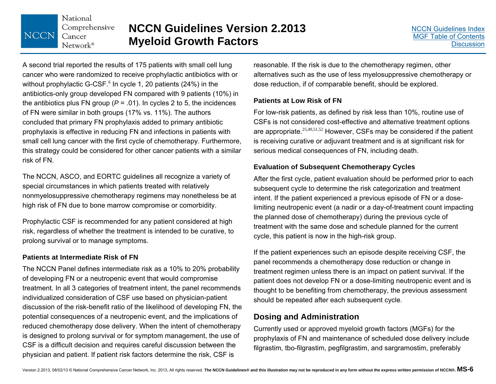### **NCCN Guidelines Version 2.2013 Myeloid Growth Factors**

A second trial reported the results of 175 patients with small cell lung cancer who were randomized to receive prophylactic antibiotics with or without prophylactic G-CSF. $6$  In cycle 1, 20 patients (24%) in the antibiotics-only group developed FN compared with 9 patients (10%) in the antibiotics plus FN group  $(P = .01)$ . In cycles 2 to 5, the incidences of FN were similar in both groups (17% vs. 11%). The authors concluded that primary FN prophylaxis added to primary antibiotic prophylaxis is effective in reducing FN and infections in patients with small cell lung cancer with the first cycle of chemotherapy. Furthermore, this strategy could be considered for other cancer patients with a similar risk of FN.

The NCCN, ASCO, and EORTC guidelines all recognize a variety of special circumstances in which patients treated with relatively nonmyelosuppressive chemotherapy regimens may nonetheless be at high risk of FN due to bone marrow compromise or comorbidity.

Prophylactic CSF is recommended for any patient considered at high risk, regardless of whether the treatment is intended to be curative, to prolong survival or to manage symptoms.

### **Patients at Intermediate Risk of FN**

The NCCN Panel defines intermediate risk as a 10% to 20% probability of developing FN or a neutropenic event that would compromise treatment. In all 3 categories of treatment intent, the panel recommends individualized consideration of CSF use based on physician-patient discussion of the risk-benefit ratio of the likelihood of developing FN, the potential consequences of a neutropenic event, and the implications of reduced chemotherapy dose delivery. When the intent of chemotherapy is designed to prolong survival or for symptom management, the use of CSF is a difficult decision and requires careful discussion between the physician and patient. If patient risk factors determine the risk, CSF is

reasonable. If the risk is due to the chemotherapy regimen, other alternatives such as the use of less myelosuppressive chemotherapy or dose reduction, if of comparable benefit, should be explored.

### **Patients at Low Risk of FN**

For low-risk patients, as defined by risk less than 10%, routine use of CSFs is not considered cost-effective and alternative treatment options are appropriate.<sup>25,49,51,52</sup> However, CSFs may be considered if the patient is receiving curative or adjuvant treatment and is at significant risk for serious medical consequences of FN, including death.

### **Evaluation of Subsequent Chemotherapy Cycles**

After the first cycle, patient evaluation should be performed prior to each subsequent cycle to determine the risk categorization and treatment intent. If the patient experienced a previous episode of FN or a doselimiting neutropenic event (a nadir or a day-of-treatment count impacting the planned dose of chemotherapy) during the previous cycle of treatment with the same dose and schedule planned for the current cycle, this patient is now in the high-risk group.

If the patient experiences such an episode despite receiving CSF, the panel recommends a chemotherapy dose reduction or change in treatment regimen unless there is an impact on patient survival. If the patient does not develop FN or a dose-limiting neutropenic event and is thought to be benefiting from chemotherapy, the previous assessment should be repeated after each subsequent cycle.

### **Dosing and Administration**

Currently used or approved myeloid growth factors (MGFs) for the prophylaxis of FN and maintenance of scheduled dose delivery include filgrastim, tbo-filgrastim, pegfilgrastim, and sargramostim, preferably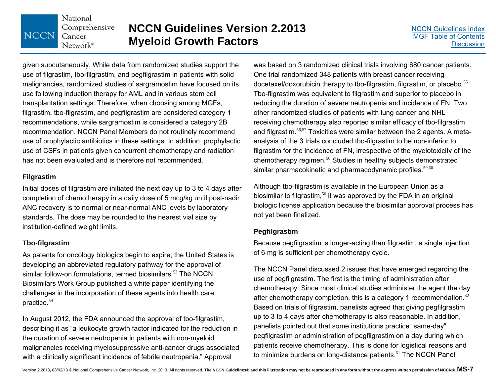### **NCCN Guidelines Version 2.2013 Myeloid Growth Factors**

given subcutaneously. While data from randomized studies support the use of filgrastim, tbo-filgrastim, and pegfilgrastim in patients with solid malignancies, randomized studies of sargramostim have focused on its use following induction therapy for AML and in various stem cell transplantation settings. Therefore, when choosing among MGFs, filgrastim, tbo-filgrastim, and pegfilgrastim are considered category 1 recommendations, while sargramostim is considered a category 2B recommendation. NCCN Panel Members do not routinely recommend use of prophylactic antibiotics in these settings. In addition, prophylactic use of CSFs in patients given concurrent chemotherapy and radiation has not been evaluated and is therefore not recommended.

### **Filgrastim**

Initial doses of filgrastim are initiated the next day up to 3 to 4 days after completion of chemotherapy in a daily dose of 5 mcg/kg until post-nadir ANC recovery is to normal or near-normal ANC levels by laboratory standards. The dose may be rounded to the nearest vial size by institution-defined weight limits.

### **Tbo-filgrastim**

As patents for oncology biologics begin to expire, the United States is developing an abbreviated regulatory pathway for the approval of similar follow-on formulations, termed biosimilars.<sup>53</sup> The NCCN Biosimilars Work Group published a white paper identifying the challenges in the incorporation of these agents into health care practice.<sup>54</sup>

In August 2012, the FDA announced the approval of tbo-filgrastim, describing it as "a leukocyte growth factor indicated for the reduction in the duration of severe neutropenia in patients with non-myeloid malignancies receiving myelosuppressive anti-cancer drugs associated with a clinically significant incidence of febrile neutropenia." Approval

was based on 3 randomized clinical trials involving 680 cancer patients. One trial randomized 348 patients with breast cancer receiving docetaxel/doxorubicin therapy to tbo-filgrastim, filgrastim, or placebo.<sup>55</sup> Tbo-filgrastim was equivalent to filgrastim and superior to placebo in reducing the duration of severe neutropenia and incidence of FN. Two other randomized studies of patients with lung cancer and NHL receiving chemotherapy also reported similar efficacy of tbo-filgrastim and filgrastim.<sup>56,57</sup> Toxicities were similar between the 2 agents. A metaanalysis of the 3 trials concluded tbo-filgrastim to be non-inferior to filgrastim for the incidence of FN, irrespective of the myelotoxicity of the chemotherapy regimen.<sup>58</sup> Studies in healthy subjects demonstrated similar pharmacokinetic and pharmacodynamic profiles.<sup>59,60</sup>

Although tbo-filgrastim is available in the European Union as a biosimilar to filgrastim,<sup>50</sup> it was approved by the FDA in an original biologic license application because the biosimilar approval process has not yet been finalized.

### **Pegfilgrastim**

Because pegfilgrastim is longer-acting than filgrastim, a single injection of 6 mg is sufficient per chemotherapy cycle.

The NCCN Panel discussed 2 issues that have emerged regarding the use of pegfilgrastim. The first is the timing of administration after chemotherapy. Since most clinical studies administer the agent the day after chemotherapy completion, this is a category 1 recommendation.<sup>32</sup> Based on trials of filgrastim, panelists agreed that giving pegfilgrastim up to 3 to 4 days after chemotherapy is also reasonable. In addition, panelists pointed out that some institutions practice "same-day" pegfilgrastim or administration of pegfilgrastim on a day during which patients receive chemotherapy. This is done for logistical reasons and to minimize burdens on long-distance patients.<sup>61</sup> The NCCN Panel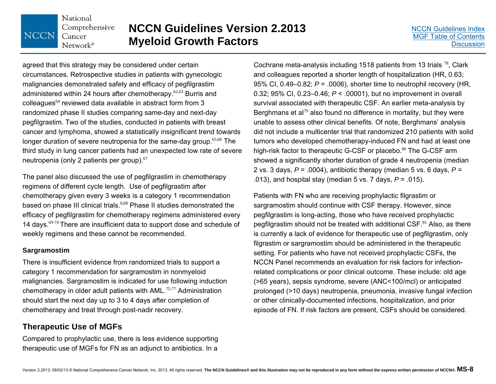### **NCCN Guidelines Version 2.2013 Myeloid Growth Factors**

agreed that this strategy may be considered under certain circumstances. Retrospective studies in patients with gynecologic malignancies demonstrated safety and efficacy of pegfilgrastim administered within 24 hours after chemotherapy.<sup>62,63</sup> Burris and colleagues<sup>64</sup> reviewed data available in abstract form from 3 randomized phase II studies comparing same-day and next-day pegfilgrastim. Two of the studies, conducted in patients with breast cancer and lymphoma, showed a statistically insignificant trend towards longer duration of severe neutropenia for the same-day group.<sup>65,66</sup> The third study in lung cancer patients had an unexpected low rate of severe neutropenia (only 2 patients per group).<sup>67</sup>

The panel also discussed the use of pegfilgrastim in chemotherapy regimens of different cycle length. Use of pegfilgrastim after chemotherapy given every 3 weeks is a category 1 recommendation based on phase III clinical trials.<sup>8,68</sup> Phase II studies demonstrated the efficacy of pegfilgrastim for chemotherapy regimens administered every 14 days.<sup>69-74</sup> There are insufficient data to support dose and schedule of weekly regimens and these cannot be recommended.

### **Sargramostim**

There is insufficient evidence from randomized trials to support a category 1 recommendation for sargramostim in nonmyeloid malignancies. Sargramostim is indicated for use following induction chemotherapy in older adult patients with AML.75-77 Administration should start the next day up to 3 to 4 days after completion of chemotherapy and treat through post-nadir recovery.

### **Therapeutic Use of MGFs**

Compared to prophylactic use, there is less evidence supporting therapeutic use of MGFs for FN as an adjunct to antibiotics. In a

Cochrane meta-analysis including 1518 patients from 13 trials  $^{78}$ , Clark and colleagues reported a shorter length of hospitalization (HR, 0.63; 95% CI, 0.49–0.82; *P* = .0006), shorter time to neutrophil recovery (HR, 0.32; 95% CI, 0.23–0.46; *P* < .00001), but no improvement in overall survival associated with therapeutic CSF. An earlier meta-analysis by Berghmans et al<sup>79</sup> also found no difference in mortality, but they were unable to assess other clinical benefits. Of note, Berghmans' analysis did not include a multicenter trial that randomized 210 patients with solid tumors who developed chemotherapy-induced FN and had at least one high-risk factor to therapeutic G-CSF or placebo.<sup>80</sup> The G-CSF arm showed a significantly shorter duration of grade 4 neutropenia (median 2 vs. 3 days,  $P = .0004$ ), antibiotic therapy (median 5 vs. 6 days,  $P =$ .013), and hospital stay (median 5 vs. 7 days, *P* = .015).

Patients with FN who are receiving prophylactic filgrastim or sargramostim should continue with CSF therapy. However, since pegfilgrastim is long-acting, those who have received prophylactic pegfilgrastim should not be treated with additional  $\text{CSF.}^{81}$  Also, as there is currently a lack of evidence for therapeutic use of pegfilgrastim, only filgrastim or sargramostim should be administered in the therapeutic setting. For patients who have not received prophylactic CSFs, the NCCN Panel recommends an evaluation for risk factors for infectionrelated complications or poor clinical outcome. These include: old age (>65 years), sepsis syndrome, severe (ANC<100/mcl) or anticipated prolonged (>10 days) neutropenia, pneumonia, invasive fungal infection or other clinically-documented infections, hospitalization, and prior episode of FN. If risk factors are present, CSFs should be considered.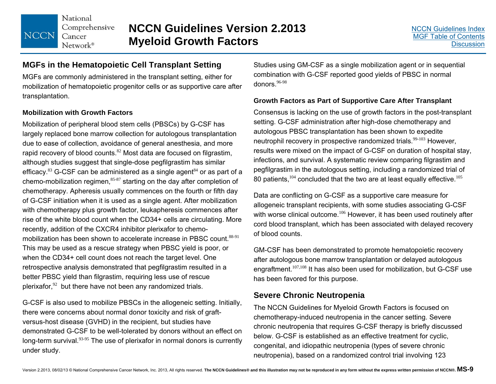### **NCCN Guidelines Version 2.2013 Myeloid Growth Factors**

### **MGFs in the Hematopoietic Cell Transplant Setting**

MGFs are commonly administered in the transplant setting, either for mobilization of hematopoietic progenitor cells or as supportive care after transplantation.

### **Mobilization with Growth Factors**

Mobilization of peripheral blood stem cells (PBSCs) by G-CSF has largely replaced bone marrow collection for autologous transplantation due to ease of collection, avoidance of general anesthesia, and more rapid recovery of blood counts.<sup>82</sup> Most data are focused on filgrastim, although studies suggest that single-dose pegfilgrastim has similar efficacy. $83$  G-CSF can be administered as a single agent  $84$  or as part of a chemo-mobilization regimen, $85-87$  starting on the day after completion of chemotherapy. Apheresis usually commences on the fourth or fifth day of G-CSF initiation when it is used as a single agent. After mobilization with chemotherapy plus growth factor, leukapheresis commences after rise of the white blood count when the CD34+ cells are circulating. More recently, addition of the CXCR4 inhibitor plerixafor to chemomobilization has been shown to accelerate increase in PBSC count.<sup>88-91</sup> This may be used as a rescue strategy when PBSC yield is poor, or when the CD34+ cell count does not reach the target level. One retrospective analysis demonstrated that pegfilgrastim resulted in a better PBSC yield than filgrastim, requiring less use of rescue plerixafor,  $92$  but there have not been any randomized trials.

G-CSF is also used to mobilize PBSCs in the allogeneic setting. Initially, there were concerns about normal donor toxicity and risk of graftversus-host disease (GVHD) in the recipient, but studies have demonstrated G-CSF to be well-tolerated by donors without an effect on long-term survival. $93-95$  The use of plerixafor in normal donors is currently under study.

Studies using GM-CSF as a single mobilization agent or in sequential combination with G-CSF reported good yields of PBSC in normal donors.<sup>96-98</sup>

### **Growth Factors as Part of Supportive Care After Transplant**

Consensus is lacking on the use of growth factors in the post-transplant setting. G-CSF administration after high-dose chemotherapy and autologous PBSC transplantation has been shown to expedite neutrophil recovery in prospective randomized trials.<sup>99-103</sup> However, results were mixed on the impact of G-CSF on duration of hospital stay, infections, and survival. A systematic review comparing filgrastim and pegfilgrastim in the autologous setting, including a randomized trial of 80 patients, $104$  concluded that the two are at least equally effective. $105$ 

Data are conflicting on G-CSF as a supportive care measure for allogeneic transplant recipients, with some studies associating G-CSF with worse clinical outcome.<sup>106</sup> However, it has been used routinely after cord blood transplant, which has been associated with delayed recovery of blood counts.

GM-CSF has been demonstrated to promote hematopoietic recovery after autologous bone marrow transplantation or delayed autologous engraftment.107,108 It has also been used for mobilization, but G-CSF use has been favored for this purpose.

### **Severe Chronic Neutropenia**

The NCCN Guidelines for Myeloid Growth Factors is focused on chemotherapy-induced neutropenia in the cancer setting. Severe chronic neutropenia that requires G-CSF therapy is briefly discussed below. G-CSF is established as an effective treatment for cyclic, congenital, and idiopathic neutropenia (types of severe chronic neutropenia), based on a randomized control trial involving 123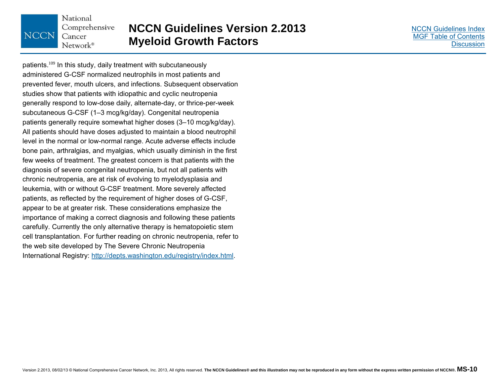#### National Comprehensive **NCCN** Cancer Network®

### **NCCN Guidelines Version 2.2013 Myeloid Growth Factors**

[NCCN Guidelines Index](#page-0-0)[MGF Table of Contents](#page-2-0)**[Discussion](#page-20-0)** 

patients.<sup>109</sup> In this study, daily treatment with subcutaneously administered G-CSF normalized neutrophils in most patients and prevented fever, mouth ulcers, and infections. Subsequent observation studies show that patients with idiopathic and cyclic neutropenia generally respond to low-dose daily, alternate-day, or thrice-per-week subcutaneous G-CSF (1–3 mcg/kg/day). Congenital neutropenia patients generally require somewhat higher doses (3–10 mcg/kg/day). All patients should have doses adjusted to maintain a blood neutrophil level in the normal or low-normal range. Acute adverse effects include bone pain, arthralgias, and myalgias, which usually diminish in the first few weeks of treatment. The greatest concern is that patients with the diagnosis of severe congenital neutropenia, but not all patients with chronic neutropenia, are at risk of evolving to myelodysplasia and leukemia, with or without G-CSF treatment. More severely affected patients, as reflected by the requirement of higher doses of G-CSF, appear to be at greater risk. These considerations emphasize the importance of making a correct diagnosis and following these patients carefully. Currently the only alternative therapy is hematopoietic stem cell transplantation. For further reading on chronic neutropenia, refer to the web site developed by The Severe Chronic Neutropenia International Registry: http://depts.washington.edu/registry/index.html.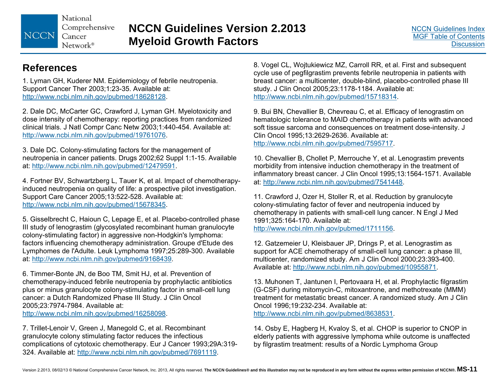National Comprehensive NCCN Cancer  $Network^*$ 

### **NCCN Guidelines Version 2.2013 Myeloid Growth Factors**

### **References**

1. Lyman GH, Kuderer NM. Epidemiology of febrile neutropenia. Support Cancer Ther 2003;1:23-35. Available at: http://www.ncbi.nlm.nih.gov/pubmed/18628128.

2. Dale DC, McCarter GC, Crawford J, Lyman GH. Myelotoxicity and dose intensity of chemotherapy: reporting practices from randomized clinical trials. J Natl Compr Canc Netw 2003;1:440-454. Available at: http://www.ncbi.nlm.nih.gov/pubmed/19761076.

3. Dale DC. Colony-stimulating factors for the management of neutropenia in cancer patients. Drugs 2002;62 Suppl 1:1-15. Available at: http://www.ncbi.nlm.nih.gov/pubmed/12479591.

4. Fortner BV, Schwartzberg L, Tauer K, et al. Impact of chemotherapyinduced neutropenia on quality of life: a prospective pilot investigation. Support Care Cancer 2005;13:522-528. Available at: http://www.ncbi.nlm.nih.gov/pubmed/15678345.

5. Gisselbrecht C, Haioun C, Lepage E, et al. Placebo-controlled phase III study of lenograstim (glycosylated recombinant human granulocyte colony-stimulating factor) in aggressive non-Hodgkin's lymphoma: factors influencing chemotherapy administration. Groupe d'Etude des Lymphomes de l'Adulte. Leuk Lymphoma 1997;25:289-300. Available at: http://www.ncbi.nlm.nih.gov/pubmed/9168439.

6. Timmer-Bonte JN, de Boo TM, Smit HJ, et al. Prevention of chemotherapy-induced febrile neutropenia by prophylactic antibiotics plus or minus granulocyte colony-stimulating factor in small-cell lung cancer: a Dutch Randomized Phase III Study. J Clin Oncol 2005;23:7974-7984. Available at: http://www.ncbi.nlm.nih.gov/pubmed/16258098.

7. Trillet-Lenoir V, Green J, Manegold C, et al. Recombinant granulocyte colony stimulating factor reduces the infectious complications of cytotoxic chemotherapy. Eur J Cancer 1993;29A:319- 324. Available at: http://www.ncbi.nlm.nih.gov/pubmed/7691119.

8. Vogel CL, Wojtukiewicz MZ, Carroll RR, et al. First and subsequent cycle use of pegfilgrastim prevents febrile neutropenia in patients with breast cancer: a multicenter, double-blind, placebo-controlled phase III study. J Clin Oncol 2005;23:1178-1184. Available at: http://www.ncbi.nlm.nih.gov/pubmed/15718314.

9. Bui BN, Chevallier B, Chevreau C, et al. Efficacy of lenograstim on hematologic tolerance to MAID chemotherapy in patients with advanced soft tissue sarcoma and consequences on treatment dose-intensity. J Clin Oncol 1995;13:2629-2636. Available at: http://www.ncbi.nlm.nih.gov/pubmed/7595717.

10. Chevallier B, Chollet P, Merrouche Y, et al. Lenograstim prevents morbidity from intensive induction chemotherapy in the treatment of inflammatory breast cancer. J Clin Oncol 1995;13:1564-1571. Available at: http://www.ncbi.nlm.nih.gov/pubmed/7541448.

11. Crawford J, Ozer H, Stoller R, et al. Reduction by granulocyte colony-stimulating factor of fever and neutropenia induced by chemotherapy in patients with small-cell lung cancer. N Engl J Med 1991;325:164-170. Available at: http://www.ncbi.nlm.nih.gov/pubmed/1711156.

12. Gatzemeier U, Kleisbauer JP, Drings P, et al. Lenograstim as support for ACE chemotherapy of small-cell lung cancer: a phase III, multicenter, randomized study. Am J Clin Oncol 2000;23:393-400. Available at: http://www.ncbi.nlm.nih.gov/pubmed/10955871.

13. Muhonen T, Jantunen I, Pertovaara H, et al. Prophylactic filgrastim (G-CSF) during mitomycin-C, mitoxantrone, and methotrexate (MMM) treatment for metastatic breast cancer. A randomized study. Am J Clin Oncol 1996;19:232-234. Available at: http://www.ncbi.nlm.nih.gov/pubmed/8638531.

14. Osby E, Hagberg H, Kvaloy S, et al. CHOP is superior to CNOP in elderly patients with aggressive lymphoma while outcome is unaffected by filgrastim treatment: results of a Nordic Lymphoma Group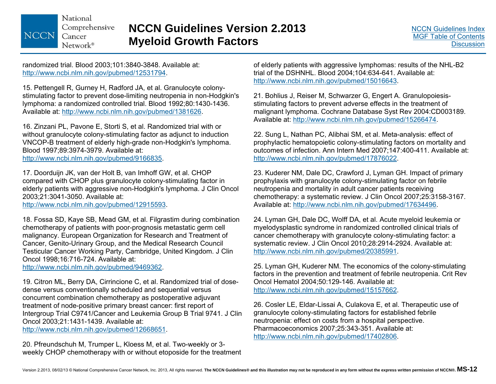### **NCCN Guidelines Version 2.2013 Myeloid Growth Factors**

randomized trial. Blood 2003;101:3840-3848. Available at: http://www.ncbi.nlm.nih.gov/pubmed/12531794.

15. Pettengell R, Gurney H, Radford JA, et al. Granulocyte colonystimulating factor to prevent dose-limiting neutropenia in non-Hodgkin's lymphoma: a randomized controlled trial. Blood 1992;80:1430-1436. Available at: http://www.ncbi.nlm.nih.gov/pubmed/1381626.

16. Zinzani PL, Pavone E, Storti S, et al. Randomized trial with or without granulocyte colony-stimulating factor as adjunct to induction VNCOP-B treatment of elderly high-grade non-Hodgkin's lymphoma. Blood 1997;89:3974-3979. Available at:

http://www.ncbi.nlm.nih.gov/pubmed/9166835.

17. Doorduijn JK, van der Holt B, van Imhoff GW, et al. CHOP compared with CHOP plus granulocyte colony-stimulating factor in elderly patients with aggressive non-Hodgkin's lymphoma. J Clin Oncol 2003;21:3041-3050. Available at:

http://www.ncbi.nlm.nih.gov/pubmed/12915593.

18. Fossa SD, Kaye SB, Mead GM, et al. Filgrastim during combination chemotherapy of patients with poor-prognosis metastatic germ cell malignancy. European Organization for Research and Treatment of Cancer, Genito-Urinary Group, and the Medical Research Council Testicular Cancer Working Party, Cambridge, United Kingdom. J Clin Oncol 1998;16:716-724. Available at:

http://www.ncbi.nlm.nih.gov/pubmed/9469362.

19. Citron ML, Berry DA, Cirrincione C, et al. Randomized trial of dosedense versus conventionally scheduled and sequential versus concurrent combination chemotherapy as postoperative adjuvant treatment of node-positive primary breast cancer: first report of Intergroup Trial C9741/Cancer and Leukemia Group B Trial 9741. J Clin Oncol 2003;21:1431-1439. Available at:

http://www.ncbi.nlm.nih.gov/pubmed/12668651.

20. Pfreundschuh M, Trumper L, Kloess M, et al. Two-weekly or 3 weekly CHOP chemotherapy with or without etoposide for the treatment of elderly patients with aggressive lymphomas: results of the NHL-B2 trial of the DSHNHL. Blood 2004;104:634-641. Available at: http://www.ncbi.nlm.nih.gov/pubmed/15016643.

21. Bohlius J, Reiser M, Schwarzer G, Engert A. Granulopoiesisstimulating factors to prevent adverse effects in the treatment of malignant lymphoma. Cochrane Database Syst Rev 2004:CD003189. Available at: http://www.ncbi.nlm.nih.gov/pubmed/15266474.

22. Sung L, Nathan PC, Alibhai SM, et al. Meta-analysis: effect of prophylactic hematopoietic colony-stimulating factors on mortality and outcomes of infection. Ann Intern Med 2007;147:400-411. Available at: http://www.ncbi.nlm.nih.gov/pubmed/17876022.

23. Kuderer NM, Dale DC, Crawford J, Lyman GH. Impact of primary prophylaxis with granulocyte colony-stimulating factor on febrile neutropenia and mortality in adult cancer patients receiving chemotherapy: a systematic review. J Clin Oncol 2007;25:3158-3167. Available at: http://www.ncbi.nlm.nih.gov/pubmed/17634496.

24. Lyman GH, Dale DC, Wolff DA, et al. Acute myeloid leukemia or myelodysplastic syndrome in randomized controlled clinical trials of cancer chemotherapy with granulocyte colony-stimulating factor: a systematic review. J Clin Oncol 2010;28:2914-2924. Available at: http://www.ncbi.nlm.nih.gov/pubmed/20385991.

25. Lyman GH, Kuderer NM. The economics of the colony-stimulating factors in the prevention and treatment of febrile neutropenia. Crit Rev Oncol Hematol 2004;50:129-146. Available at: http://www.ncbi.nlm.nih.gov/pubmed/15157662.

26. Cosler LE, Eldar-Lissai A, Culakova E, et al. Therapeutic use of granulocyte colony-stimulating factors for established febrile neutropenia: effect on costs from a hospital perspective. Pharmacoeconomics 2007;25:343-351. Available at: http://www.ncbi.nlm.nih.gov/pubmed/17402806.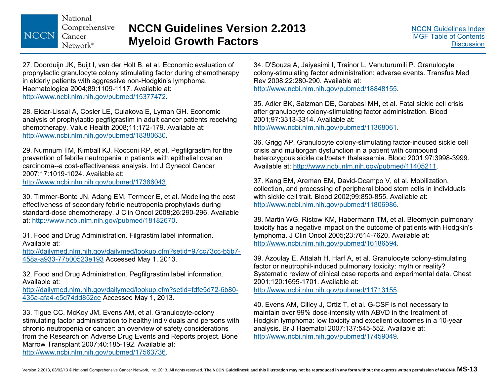27. Doorduijn JK, Buijt I, van der Holt B, et al. Economic evaluation of prophylactic granulocyte colony stimulating factor during chemotherapy in elderly patients with aggressive non-Hodgkin's lymphoma. Haematologica 2004;89:1109-1117. Available at: http://www.ncbi.nlm.nih.gov/pubmed/15377472.

28. Eldar-Lissai A, Cosler LE, Culakova E, Lyman GH. Economic analysis of prophylactic pegfilgrastim in adult cancer patients receiving chemotherapy. Value Health 2008;11:172-179. Available at: http://www.ncbi.nlm.nih.gov/pubmed/18380630.

29. Numnum TM, Kimball KJ, Rocconi RP, et al. Pegfilgrastim for the prevention of febrile neutropenia in patients with epithelial ovarian carcinoma--a cost-effectiveness analysis. Int J Gynecol Cancer 2007;17:1019-1024. Available at: http://www.ncbi.nlm.nih.gov/pubmed/17386043.

30. Timmer-Bonte JN, Adang EM, Termeer E, et al. Modeling the cost effectiveness of secondary febrile neutropenia prophylaxis during standard-dose chemotherapy. J Clin Oncol 2008;26:290-296. Available at: http://www.ncbi.nlm.nih.gov/pubmed/18182670.

31. Food and Drug Administration. Filgrastim label information. Available at:

http://dailymed.nlm.nih.gov/dailymed/lookup.cfm?setid=97cc73cc-b5b7- 458a-a933-77b00523e193 Accessed May 1, 2013.

32. Food and Drug Administration. Pegfilgrastim label information. Available at:

http://dailymed.nlm.nih.gov/dailymed/lookup.cfm?setid=fdfe5d72-6b80- 435a-afa4-c5d74dd852ce Accessed May 1, 2013.

33. Tigue CC, McKoy JM, Evens AM, et al. Granulocyte-colony stimulating factor administration to healthy individuals and persons with chronic neutropenia or cancer: an overview of safety considerations from the Research on Adverse Drug Events and Reports project. Bone Marrow Transplant 2007;40:185-192. Available at: http://www.ncbi.nlm.nih.gov/pubmed/17563736.

34. D'Souza A, Jaiyesimi I, Trainor L, Venuturumili P. Granulocyte colony-stimulating factor administration: adverse events. Transfus Med Rev 2008;22:280-290. Available at: http://www.ncbi.nlm.nih.gov/pubmed/18848155.

35. Adler BK, Salzman DE, Carabasi MH, et al. Fatal sickle cell crisis after granulocyte colony-stimulating factor administration. Blood 2001;97:3313-3314. Available at: http://www.ncbi.nlm.nih.gov/pubmed/11368061.

36. Grigg AP. Granulocyte colony-stimulating factor-induced sickle cell crisis and multiorgan dysfunction in a patient with compound heterozygous sickle cell/beta+ thalassemia. Blood 2001;97:3998-3999. Available at: http://www.ncbi.nlm.nih.gov/pubmed/11405211.

37. Kang EM, Areman EM, David-Ocampo V, et al. Mobilization, collection, and processing of peripheral blood stem cells in individuals with sickle cell trait. Blood 2002;99:850-855. Available at: http://www.ncbi.nlm.nih.gov/pubmed/11806986.

38. Martin WG, Ristow KM, Habermann TM, et al. Bleomycin pulmonary toxicity has a negative impact on the outcome of patients with Hodgkin's lymphoma. J Clin Oncol 2005;23:7614-7620. Available at: http://www.ncbi.nlm.nih.gov/pubmed/16186594.

39. Azoulay E, Attalah H, Harf A, et al. Granulocyte colony-stimulating factor or neutrophil-induced pulmonary toxicity: myth or reality? Systematic review of clinical case reports and experimental data. Chest 2001;120:1695-1701. Available at: http://www.ncbi.nlm.nih.gov/pubmed/11713155.

40. Evens AM, Cilley J, Ortiz T, et al. G-CSF is not necessary to maintain over 99% dose-intensity with ABVD in the treatment of Hodgkin lymphoma: low toxicity and excellent outcomes in a 10-year analysis. Br J Haematol 2007;137:545-552. Available at: http://www.ncbi.nlm.nih.gov/pubmed/17459049.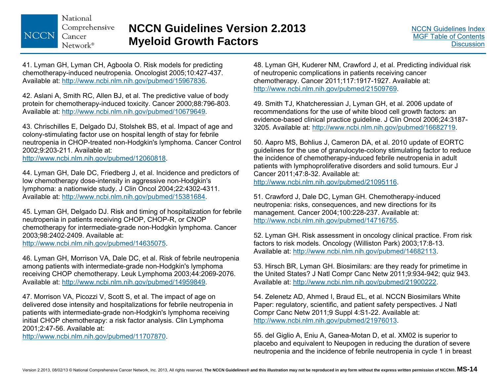### **NCCN Guidelines Version 2.2013 Myeloid Growth Factors**

41. Lyman GH, Lyman CH, Agboola O. Risk models for predicting chemotherapy-induced neutropenia. Oncologist 2005;10:427-437. Available at: http://www.ncbi.nlm.nih.gov/pubmed/15967836.

42. Aslani A, Smith RC, Allen BJ, et al. The predictive value of body protein for chemotherapy-induced toxicity. Cancer 2000;88:796-803. Available at: http://www.ncbi.nlm.nih.gov/pubmed/10679649.

43. Chrischilles E, Delgado DJ, Stolshek BS, et al. Impact of age and colony-stimulating factor use on hospital length of stay for febrile neutropenia in CHOP-treated non-Hodgkin's lymphoma. Cancer Control 2002;9:203-211. Available at:

http://www.ncbi.nlm.nih.gov/pubmed/12060818.

44. Lyman GH, Dale DC, Friedberg J, et al. Incidence and predictors of low chemotherapy dose-intensity in aggressive non-Hodgkin's lymphoma: a nationwide study. J Clin Oncol 2004;22:4302-4311. Available at: http://www.ncbi.nlm.nih.gov/pubmed/15381684.

45. Lyman GH, Delgado DJ. Risk and timing of hospitalization for febrile neutropenia in patients receiving CHOP, CHOP-R, or CNOP chemotherapy for intermediate-grade non-Hodgkin lymphoma. Cancer 2003;98:2402-2409. Available at: http://www.ncbi.nlm.nih.gov/pubmed/14635075.

46. Lyman GH, Morrison VA, Dale DC, et al. Risk of febrile neutropenia among patients with intermediate-grade non-Hodgkin's lymphoma receiving CHOP chemotherapy. Leuk Lymphoma 2003;44:2069-2076. Available at: http://www.ncbi.nlm.nih.gov/pubmed/14959849.

47. Morrison VA, Picozzi V, Scott S, et al. The impact of age on delivered dose intensity and hospitalizations for febrile neutropenia in patients with intermediate-grade non-Hodgkin's lymphoma receiving initial CHOP chemotherapy: a risk factor analysis. Clin Lymphoma 2001;2:47-56. Available at:

http://www.ncbi.nlm.nih.gov/pubmed/11707870.

48. Lyman GH, Kuderer NM, Crawford J, et al. Predicting individual risk of neutropenic complications in patients receiving cancer chemotherapy. Cancer 2011;117:1917-1927. Available at: http://www.ncbi.nlm.nih.gov/pubmed/21509769.

49. Smith TJ, Khatcheressian J, Lyman GH, et al. 2006 update of recommendations for the use of white blood cell growth factors: an evidence-based clinical practice guideline. J Clin Oncol 2006;24:3187- 3205. Available at: http://www.ncbi.nlm.nih.gov/pubmed/16682719.

50. Aapro MS, Bohlius J, Cameron DA, et al. 2010 update of EORTC guidelines for the use of granulocyte-colony stimulating factor to reduce the incidence of chemotherapy-induced febrile neutropenia in adult patients with lymphoproliferative disorders and solid tumours. Eur J Cancer 2011;47:8-32. Available at: http://www.ncbi.nlm.nih.gov/pubmed/21095116.

51. Crawford J, Dale DC, Lyman GH. Chemotherapy-induced neutropenia: risks, consequences, and new directions for its management. Cancer 2004;100:228-237. Available at: http://www.ncbi.nlm.nih.gov/pubmed/14716755.

52. Lyman GH. Risk assessment in oncology clinical practice. From risk factors to risk models. Oncology (Williston Park) 2003;17:8-13. Available at: http://www.ncbi.nlm.nih.gov/pubmed/14682113.

53. Hirsch BR, Lyman GH. Biosimilars: are they ready for primetime in the United States? J Natl Compr Canc Netw 2011;9:934-942; quiz 943. Available at: http://www.ncbi.nlm.nih.gov/pubmed/21900222.

54. Zelenetz AD, Ahmed I, Braud EL, et al. NCCN Biosimilars White Paper: regulatory, scientific, and patient safety perspectives. J Natl Compr Canc Netw 2011;9 Suppl 4:S1-22. Available at: http://www.ncbi.nlm.nih.gov/pubmed/21976013.

55. del Giglio A, Eniu A, Ganea-Motan D, et al. XM02 is superior to placebo and equivalent to Neupogen in reducing the duration of severe neutropenia and the incidence of febrile neutropenia in cycle 1 in breast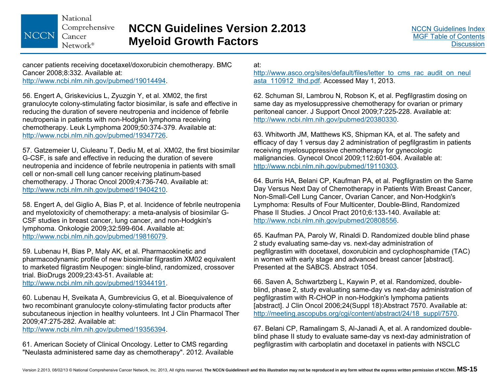### **NCCN Guidelines Version 2.2013 Myeloid Growth Factors**

cancer patients receiving docetaxel/doxorubicin chemotherapy. BMC Cancer 2008;8:332. Available at: http://www.ncbi.nlm.nih.gov/pubmed/19014494.

56. Engert A, Griskevicius L, Zyuzgin Y, et al. XM02, the first granulocyte colony-stimulating factor biosimilar, is safe and effective in reducing the duration of severe neutropenia and incidence of febrile neutropenia in patients with non-Hodgkin lymphoma receiving chemotherapy. Leuk Lymphoma 2009;50:374-379. Available at: http://www.ncbi.nlm.nih.gov/pubmed/19347726.

57. Gatzemeier U, Ciuleanu T, Dediu M, et al. XM02, the first biosimilar G-CSF, is safe and effective in reducing the duration of severe neutropenia and incidence of febrile neutropenia in patients with small cell or non-small cell lung cancer receiving platinum-based chemotherapy. J Thorac Oncol 2009;4:736-740. Available at: http://www.ncbi.nlm.nih.gov/pubmed/19404210.

58. Engert A, del Giglio A, Bias P, et al. Incidence of febrile neutropenia and myelotoxicity of chemotherapy: a meta-analysis of biosimilar G-CSF studies in breast cancer, lung cancer, and non-Hodgkin's lymphoma. Onkologie 2009;32:599-604. Available at: http://www.ncbi.nlm.nih.gov/pubmed/19816079.

59. Lubenau H, Bias P, Maly AK, et al. Pharmacokinetic and pharmacodynamic profile of new biosimilar filgrastim XM02 equivalent to marketed filgrastim Neupogen: single-blind, randomized, crossover trial. BioDrugs 2009;23:43-51. Available at: http://www.ncbi.nlm.nih.gov/pubmed/19344191.

60. Lubenau H, Sveikata A, Gumbrevicius G, et al. Bioequivalence of two recombinant granulocyte colony-stimulating factor products after subcutaneous injection in healthy volunteers. Int J Clin Pharmacol Ther 2009;47:275-282. Available at:

http://www.ncbi.nlm.nih.gov/pubmed/19356394.

61. American Society of Clinical Oncology. Letter to CMS regarding "Neulasta administered same day as chemotherapy". 2012. Available at:

http://www.asco.org/sites/default/files/letter to cms rac audit on neul asta\_110912\_lthd.pdf. Accessed May 1, 2013.

62. Schuman SI, Lambrou N, Robson K, et al. Pegfilgrastim dosing on same day as myelosuppressive chemotherapy for ovarian or primary peritoneal cancer. J Support Oncol 2009;7:225-228. Available at: http://www.ncbi.nlm.nih.gov/pubmed/20380330.

63. Whitworth JM, Matthews KS, Shipman KA, et al. The safety and efficacy of day 1 versus day 2 administration of pegfilgrastim in patients receiving myelosuppressive chemotherapy for gynecologic malignancies. Gynecol Oncol 2009;112:601-604. Available at: http://www.ncbi.nlm.nih.gov/pubmed/19110303.

64. Burris HA, Belani CP, Kaufman PA, et al. Pegfilgrastim on the Same Day Versus Next Day of Chemotherapy in Patients With Breast Cancer, Non-Small-Cell Lung Cancer, Ovarian Cancer, and Non-Hodgkin's Lymphoma: Results of Four Multicenter, Double-Blind, Randomized Phase II Studies. J Oncol Pract 2010;6:133-140. Available at: http://www.ncbi.nlm.nih.gov/pubmed/20808556.

65. Kaufman PA, Paroly W, Rinaldi D. Randomized double blind phase 2 study evaluating same-day vs. next-day administration of pegfilgrastim with docetaxel, doxorubicin and cyclophosphamide (TAC) in women with early stage and advanced breast cancer [abstract]. Presented at the SABCS. Abstract 1054.

66. Saven A, Schwartzberg L, Kaywin P, et al. Randomized, doubleblind, phase 2, study evaluating same-day vs next-day administration of pegfilgrastim with R-CHOP in non-Hodgkin's lymphoma patients [abstract]. J Clin Oncol 2006;24(Suppl 18):Abstract 7570. Available at: http://meeting.ascopubs.org/cgi/content/abstract/24/18\_suppl/7570.

67. Belani CP, Ramalingam S, Al-Janadi A, et al. A randomized doubleblind phase II study to evaluate same-day vs next-day administration of pegfilgrastim with carboplatin and docetaxel in patients with NSCLC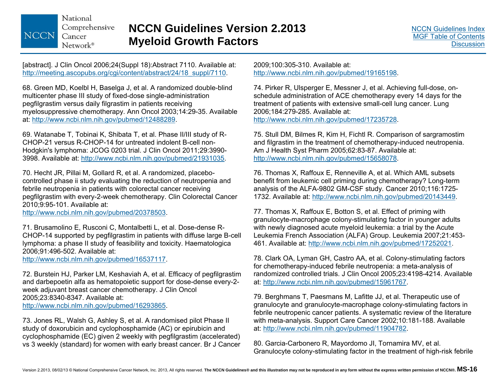### **NCCN Guidelines Version 2.2013 Myeloid Growth Factors**

[abstract]. J Clin Oncol 2006;24(Suppl 18):Abstract 7110. Available at: http://meeting.ascopubs.org/cgi/content/abstract/24/18\_suppl/7110.

68. Green MD, Koelbl H, Baselga J, et al. A randomized double-blind multicenter phase III study of fixed-dose single-administration pegfilgrastim versus daily filgrastim in patients receiving myelosuppressive chemotherapy. Ann Oncol 2003;14:29-35. Available at: http://www.ncbi.nlm.nih.gov/pubmed/12488289.

69. Watanabe T, Tobinai K, Shibata T, et al. Phase II/III study of R-CHOP-21 versus R-CHOP-14 for untreated indolent B-cell non-Hodgkin's lymphoma: JCOG 0203 trial. J Clin Oncol 2011;29:3990- 3998. Available at: http://www.ncbi.nlm.nih.gov/pubmed/21931035.

70. Hecht JR, Pillai M, Gollard R, et al. A randomized, placebocontrolled phase ii study evaluating the reduction of neutropenia and febrile neutropenia in patients with colorectal cancer receiving pegfilgrastim with every-2-week chemotherapy. Clin Colorectal Cancer 2010;9:95-101. Available at:

http://www.ncbi.nlm.nih.gov/pubmed/20378503.

71. Brusamolino E, Rusconi C, Montalbetti L, et al. Dose-dense R-CHOP-14 supported by pegfilgrastim in patients with diffuse large B-cell lymphoma: a phase II study of feasibility and toxicity. Haematologica 2006;91:496-502. Available at:

http://www.ncbi.nlm.nih.gov/pubmed/16537117.

72. Burstein HJ, Parker LM, Keshaviah A, et al. Efficacy of pegfilgrastim and darbepoetin alfa as hematopoietic support for dose-dense every-2 week adjuvant breast cancer chemotherapy. J Clin Oncol 2005;23:8340-8347. Available at: http://www.ncbi.nlm.nih.gov/pubmed/16293865.

73. Jones RL, Walsh G, Ashley S, et al. A randomised pilot Phase II study of doxorubicin and cyclophosphamide (AC) or epirubicin and cyclophosphamide (EC) given 2 weekly with pegfilgrastim (accelerated) vs 3 weekly (standard) for women with early breast cancer. Br J Cancer

2009;100:305-310. Available at: http://www.ncbi.nlm.nih.gov/pubmed/19165198.

74. Pirker R, Ulsperger E, Messner J, et al. Achieving full-dose, onschedule administration of ACE chemotherapy every 14 days for the treatment of patients with extensive small-cell lung cancer. Lung 2006;184:279-285. Available at: http://www.ncbi.nlm.nih.gov/pubmed/17235728.

75. Stull DM, Bilmes R, Kim H, Fichtl R. Comparison of sargramostim and filgrastim in the treatment of chemotherapy-induced neutropenia. Am J Health Syst Pharm 2005;62:83-87. Available at: http://www.ncbi.nlm.nih.gov/pubmed/15658078.

76. Thomas X, Raffoux E, Renneville A, et al. Which AML subsets benefit from leukemic cell priming during chemotherapy? Long-term analysis of the ALFA-9802 GM-CSF study. Cancer 2010;116:1725- 1732. Available at: http://www.ncbi.nlm.nih.gov/pubmed/20143449.

77. Thomas X, Raffoux E, Botton S, et al. Effect of priming with granulocyte-macrophage colony-stimulating factor in younger adults with newly diagnosed acute myeloid leukemia: a trial by the Acute Leukemia French Association (ALFA) Group. Leukemia 2007;21:453- 461. Available at: http://www.ncbi.nlm.nih.gov/pubmed/17252021.

78. Clark OA, Lyman GH, Castro AA, et al. Colony-stimulating factors for chemotherapy-induced febrile neutropenia: a meta-analysis of randomized controlled trials. J Clin Oncol 2005;23:4198-4214. Available at: http://www.ncbi.nlm.nih.gov/pubmed/15961767.

79. Berghmans T, Paesmans M, Lafitte JJ, et al. Therapeutic use of granulocyte and granulocyte-macrophage colony-stimulating factors in febrile neutropenic cancer patients. A systematic review of the literature with meta-analysis. Support Care Cancer 2002;10:181-188. Available at: http://www.ncbi.nlm.nih.gov/pubmed/11904782.

80. Garcia-Carbonero R, Mayordomo JI, Tornamira MV, et al. Granulocyte colony-stimulating factor in the treatment of high-risk febrile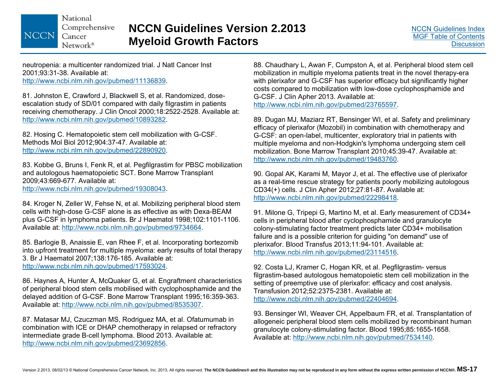National Comprehensive NCCN Cancer Network®

### **NCCN Guidelines Version 2.2013 Myeloid Growth Factors**

neutropenia: a multicenter randomized trial. J Natl Cancer Inst 2001;93:31-38. Available at: http://www.ncbi.nlm.nih.gov/pubmed/11136839.

81. Johnston E, Crawford J, Blackwell S, et al. Randomized, doseescalation study of SD/01 compared with daily filgrastim in patients receiving chemotherapy. J Clin Oncol 2000;18:2522-2528. Available at: http://www.ncbi.nlm.nih.gov/pubmed/10893282.

82. Hosing C. Hematopoietic stem cell mobilization with G-CSF. Methods Mol Biol 2012;904:37-47. Available at: http://www.ncbi.nlm.nih.gov/pubmed/22890920.

83. Kobbe G, Bruns I, Fenk R, et al. Pegfilgrastim for PBSC mobilization and autologous haematopoietic SCT. Bone Marrow Transplant 2009;43:669-677. Available at: http://www.ncbi.nlm.nih.gov/pubmed/19308043.

84. Kroger N, Zeller W, Fehse N, et al. Mobilizing peripheral blood stem cells with high-dose G-CSF alone is as effective as with Dexa-BEAM plus G-CSF in lymphoma patients. Br J Haematol 1998;102:1101-1106. Available at: http://www.ncbi.nlm.nih.gov/pubmed/9734664.

85. Barlogie B, Anaissie E, van Rhee F, et al. Incorporating bortezomib into upfront treatment for multiple myeloma: early results of total therapy 3. Br J Haematol 2007;138:176-185. Available at: http://www.ncbi.nlm.nih.gov/pubmed/17593024.

86. Haynes A, Hunter A, McQuaker G, et al. Engraftment characteristics of peripheral blood stem cells mobilised with cyclophosphamide and the delayed addition of G-CSF. Bone Marrow Transplant 1995;16:359-363. Available at: http://www.ncbi.nlm.nih.gov/pubmed/8535307.

87. Matasar MJ, Czuczman MS, Rodriguez MA, et al. Ofatumumab in combination with ICE or DHAP chemotherapy in relapsed or refractory intermediate grade B-cell lymphoma. Blood 2013. Available at: http://www.ncbi.nlm.nih.gov/pubmed/23692856.

88. Chaudhary L, Awan F, Cumpston A, et al. Peripheral blood stem cell mobilization in multiple myeloma patients treat in the novel therapy-era with plerixafor and G-CSF has superior efficacy but significantly higher costs compared to mobilization with low-dose cyclophosphamide and G-CSF. J Clin Apher 2013. Available at: http://www.ncbi.nlm.nih.gov/pubmed/23765597.

89. Dugan MJ, Maziarz RT, Bensinger WI, et al. Safety and preliminary efficacy of plerixafor (Mozobil) in combination with chemotherapy and G-CSF: an open-label, multicenter, exploratory trial in patients with multiple myeloma and non-Hodgkin's lymphoma undergoing stem cell mobilization. Bone Marrow Transplant 2010;45:39-47. Available at: http://www.ncbi.nlm.nih.gov/pubmed/19483760.

90. Gopal AK, Karami M, Mayor J, et al. The effective use of plerixafor as a real-time rescue strategy for patients poorly mobilizing autologous CD34(+) cells. J Clin Apher 2012;27:81-87. Available at: http://www.ncbi.nlm.nih.gov/pubmed/22298418.

91. Milone G, Tripepi G, Martino M, et al. Early measurement of CD34+ cells in peripheral blood after cyclophosphamide and granulocyte colony-stimulating factor treatment predicts later CD34+ mobilisation failure and is a possible criterion for guiding "on demand" use of plerixafor. Blood Transfus 2013;11:94-101. Available at: http://www.ncbi.nlm.nih.gov/pubmed/23114516.

92. Costa LJ, Kramer C, Hogan KR, et al. Pegfilgrastim- versus filgrastim-based autologous hematopoietic stem cell mobilization in the setting of preemptive use of plerixafor: efficacy and cost analysis. Transfusion 2012;52:2375-2381. Available at: http://www.ncbi.nlm.nih.gov/pubmed/22404694.

93. Bensinger WI, Weaver CH, Appelbaum FR, et al. Transplantation of allogeneic peripheral blood stem cells mobilized by recombinant human granulocyte colony-stimulating factor. Blood 1995;85:1655-1658. Available at: http://www.ncbi.nlm.nih.gov/pubmed/7534140.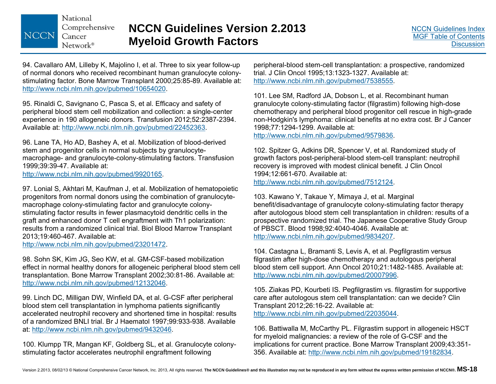National Comprehensive NCCN Cancer  $Network^*$ 

94. Cavallaro AM, Lilleby K, Majolino I, et al. Three to six year follow-up of normal donors who received recombinant human granulocyte colonystimulating factor. Bone Marrow Transplant 2000;25:85-89. Available at: http://www.ncbi.nlm.nih.gov/pubmed/10654020.

95. Rinaldi C, Savignano C, Pasca S, et al. Efficacy and safety of peripheral blood stem cell mobilization and collection: a single-center experience in 190 allogeneic donors. Transfusion 2012;52:2387-2394. Available at: http://www.ncbi.nlm.nih.gov/pubmed/22452363.

96. Lane TA, Ho AD, Bashey A, et al. Mobilization of blood-derived stem and progenitor cells in normal subjects by granulocytemacrophage- and granulocyte-colony-stimulating factors. Transfusion 1999;39:39-47. Available at:

http://www.ncbi.nlm.nih.gov/pubmed/9920165.

97. Lonial S, Akhtari M, Kaufman J, et al. Mobilization of hematopoietic progenitors from normal donors using the combination of granulocytemacrophage colony-stimulating factor and granulocyte colonystimulating factor results in fewer plasmacytoid dendritic cells in the graft and enhanced donor T cell engraftment with Th1 polarization: results from a randomized clinical trial. Biol Blood Marrow Transplant 2013;19:460-467. Available at:

http://www.ncbi.nlm.nih.gov/pubmed/23201472.

98. Sohn SK, Kim JG, Seo KW, et al. GM-CSF-based mobilization effect in normal healthy donors for allogeneic peripheral blood stem cell transplantation. Bone Marrow Transplant 2002;30:81-86. Available at: http://www.ncbi.nlm.nih.gov/pubmed/12132046.

99. Linch DC, Milligan DW, Winfield DA, et al. G-CSF after peripheral blood stem cell transplantation in lymphoma patients significantly accelerated neutrophil recovery and shortened time in hospital: results of a randomized BNLI trial. Br J Haematol 1997;99:933-938. Available at: http://www.ncbi.nlm.nih.gov/pubmed/9432046.

100. Klumpp TR, Mangan KF, Goldberg SL, et al. Granulocyte colonystimulating factor accelerates neutrophil engraftment following

peripheral-blood stem-cell transplantation: a prospective, randomized trial. J Clin Oncol 1995;13:1323-1327. Available at: http://www.ncbi.nlm.nih.gov/pubmed/7538555.

101. Lee SM, Radford JA, Dobson L, et al. Recombinant human granulocyte colony-stimulating factor (filgrastim) following high-dose chemotherapy and peripheral blood progenitor cell rescue in high-grade non-Hodgkin's lymphoma: clinical benefits at no extra cost. Br J Cancer 1998;77:1294-1299. Available at:

http://www.ncbi.nlm.nih.gov/pubmed/9579836.

102. Spitzer G, Adkins DR, Spencer V, et al. Randomized study of growth factors post-peripheral-blood stem-cell transplant: neutrophil recovery is improved with modest clinical benefit. J Clin Oncol 1994;12:661-670. Available at: http://www.ncbi.nlm.nih.gov/pubmed/7512124.

103. Kawano Y, Takaue Y, Mimaya J, et al. Marginal benefit/disadvantage of granulocyte colony-stimulating factor therapy after autologous blood stem cell transplantation in children: results of a prospective randomized trial. The Japanese Cooperative Study Group of PBSCT. Blood 1998;92:4040-4046. Available at: http://www.ncbi.nlm.nih.gov/pubmed/9834207.

104. Castagna L, Bramanti S, Levis A, et al. Pegfilgrastim versus filgrastim after high-dose chemotherapy and autologous peripheral blood stem cell support. Ann Oncol 2010;21:1482-1485. Available at: http://www.ncbi.nlm.nih.gov/pubmed/20007996.

105. Ziakas PD, Kourbeti IS. Pegfilgrastim vs. filgrastim for supportive care after autologous stem cell transplantation: can we decide? Clin Transplant 2012;26:16-22. Available at: http://www.ncbi.nlm.nih.gov/pubmed/22035044.

106. Battiwalla M, McCarthy PL. Filgrastim support in allogeneic HSCT for myeloid malignancies: a review of the role of G-CSF and the implications for current practice. Bone Marrow Transplant 2009;43:351- 356. Available at: http://www.ncbi.nlm.nih.gov/pubmed/19182834.